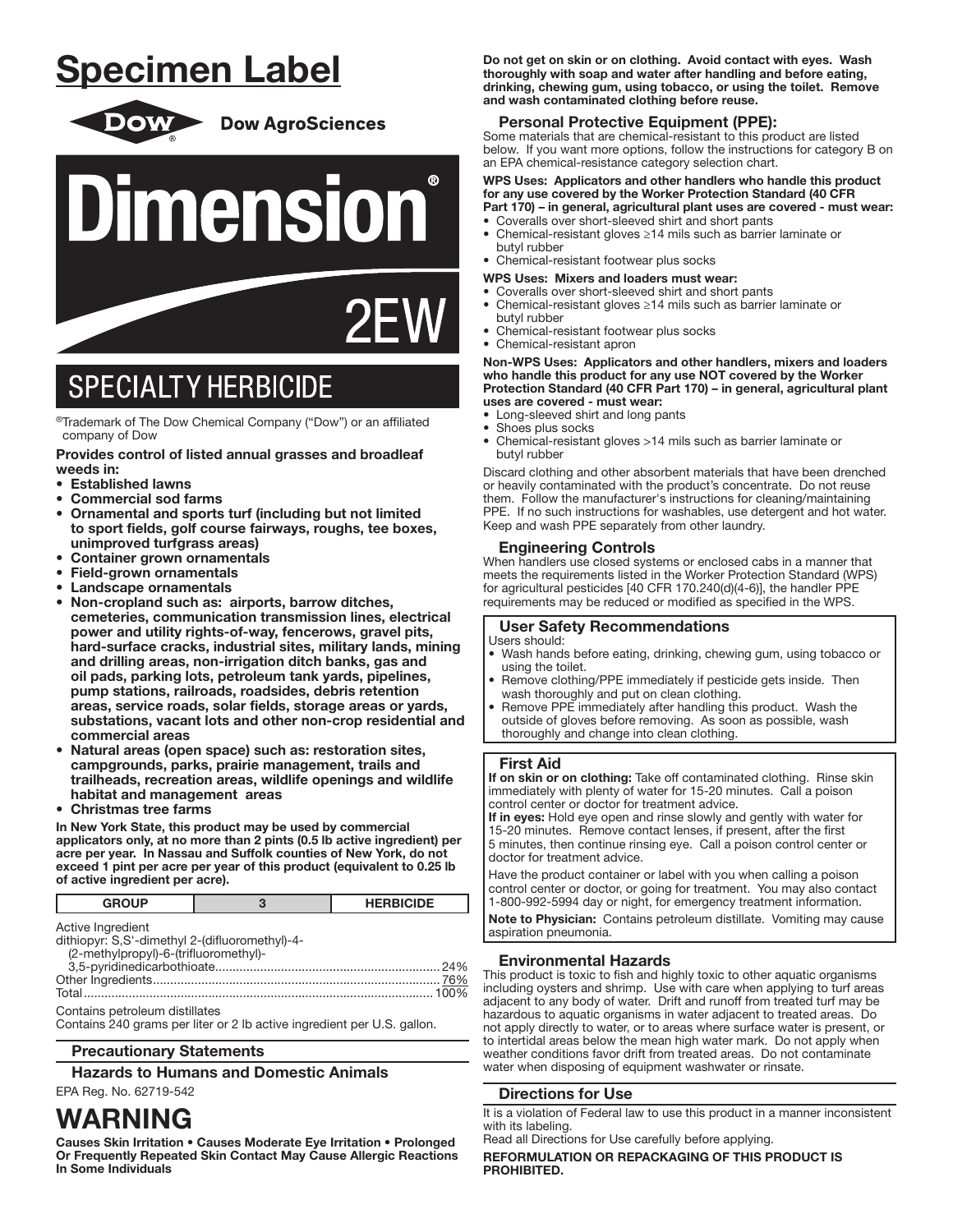# Specimen Label



**Dow AgroSciences** 



# **SPECIALTY HERBICIDE**

l ®Trademark of The Dow Chemical Company ("Dow") or an affiliated company of Dow

#### Provides control of listed annual grasses and broadleaf weeds in:

- Established lawns
- Commercial sod farms
- Ornamental and sports turf (including but not limited to sport fields, golf course fairways, roughs, tee boxes, unimproved turfgrass areas)
- Container grown ornamentals
- Field-grown ornamentals
- Landscape ornamentals
- Non-cropland such as: airports, barrow ditches, cemeteries, communication transmission lines, electrical power and utility rights-of-way, fencerows, gravel pits, hard-surface cracks, industrial sites, military lands, mining and drilling areas, non-irrigation ditch banks, gas and oil pads, parking lots, petroleum tank yards, pipelines, pump stations, railroads, roadsides, debris retention areas, service roads, solar fields, storage areas or yards, substations, vacant lots and other non-crop residential and commercial areas
- Natural areas (open space) such as: restoration sites, campgrounds, parks, prairie management, trails and trailheads, recreation areas, wildlife openings and wildlife habitat and management areas
- Christmas tree farms

In New York State, this product may be used by commercial applicators only, at no more than 2 pints (0.5 lb active ingredient) per acre per year. In Nassau and Suffolk counties of New York, do not exceed 1 pint per acre per year of this product (equivalent to 0.25 lb of active ingredient per acre).

| <b>GROUP</b>                                                        | <b>HERBICIDE</b> |
|---------------------------------------------------------------------|------------------|
| Active Ingredient<br>dithiopyr: S,S'-dimethyl 2-(difluoromethyl)-4- |                  |

| (2-methylpropyl)-6-(trifluoromethyl)- |         |
|---------------------------------------|---------|
|                                       |         |
|                                       | $-0.01$ |

| Contains petroleum distillates |  |
|--------------------------------|--|

Contains 240 grams per liter or 2 lb active ingredient per U.S. gallon.

### Precautionary Statements

Hazards to Humans and Domestic Animals

### EPA Reg. No. 62719-542

## WARNING

Causes Skin Irritation • Causes Moderate Eye Irritation • Prolonged Or Frequently Repeated Skin Contact May Cause Allergic Reactions In Some Individuals

Do not get on skin or on clothing. Avoid contact with eyes. Wash thoroughly with soap and water after handling and before eating, drinking, chewing gum, using tobacco, or using the toilet. Remove and wash contaminated clothing before reuse.

## Personal Protective Equipment (PPE):

Some materials that are chemical-resistant to this product are listed below. If you want more options, follow the instructions for category B on an EPA chemical-resistance category selection chart.

WPS Uses: Applicators and other handlers who handle this product for any use covered by the Worker Protection Standard (40 CFR Part 170) – in general, agricultural plant uses are covered - must wear:

- Coveralls over short-sleeved shirt and short pants • Chemical-resistant gloves ≥14 mils such as barrier laminate or
- butyl rubber • Chemical-resistant footwear plus socks
- 
- WPS Uses: Mixers and loaders must wear: • Coveralls over short-sleeved shirt and short pants
- Chemical-resistant gloves ≥14 mils such as barrier laminate or butyl rubber
- Chemical-resistant footwear plus socks
- Chemical-resistant apron

#### Non-WPS Uses: Applicators and other handlers, mixers and loaders who handle this product for any use NOT covered by the Worker Protection Standard (40 CFR Part 170) – in general, agricultural plant uses are covered - must wear:

- Long-sleeved shirt and long pants
- Shoes plus socks
- Chemical-resistant gloves >14 mils such as barrier laminate or butyl rubber

Discard clothing and other absorbent materials that have been drenched or heavily contaminated with the product's concentrate. Do not reuse them. Follow the manufacturer's instructions for cleaning/maintaining PPE. If no such instructions for washables, use detergent and hot water. Keep and wash PPE separately from other laundry.

## Engineering Controls

When handlers use closed systems or enclosed cabs in a manner that meets the requirements listed in the Worker Protection Standard (WPS) for agricultural pesticides [40 CFR 170.240(d)(4-6)], the handler PPE requirements may be reduced or modified as specified in the WPS.

## User Safety Recommendations

Users should:

- Wash hands before eating, drinking, chewing gum, using tobacco or using the toilet.
- Remove clothing/PPE immediately if pesticide gets inside. Then wash thoroughly and put on clean clothing.
- Remove PPE immediately after handling this product. Wash the outside of gloves before removing. As soon as possible, wash thoroughly and change into clean clothing.

### First Aid

If on skin or on clothing: Take off contaminated clothing. Rinse skin immediately with plenty of water for 15-20 minutes. Call a poison control center or doctor for treatment advice.

If in eyes: Hold eye open and rinse slowly and gently with water for 15-20 minutes. Remove contact lenses, if present, after the first 5 minutes, then continue rinsing eye. Call a poison control center or doctor for treatment advice.

Have the product container or label with you when calling a poison control center or doctor, or going for treatment. You may also contact 1-800-992-5994 day or night, for emergency treatment information.

Note to Physician: Contains petroleum distillate. Vomiting may cause aspiration pneumonia. ļ

## Environmental Hazards

This product is toxic to fish and highly toxic to other aquatic organisms including oysters and shrimp. Use with care when applying to turf areas adjacent to any body of water. Drift and runoff from treated turf may be hazardous to aquatic organisms in water adjacent to treated areas. Do not apply directly to water, or to areas where surface water is present, or to intertidal areas below the mean high water mark. Do not apply when weather conditions favor drift from treated areas. Do not contaminate water when disposing of equipment washwater or rinsate.

## Directions for Use

It is a violation of Federal law to use this product in a manner inconsistent with its labeling.

Read all Directions for Use carefully before applying. REFORMULATION OR REPACKAGING OF THIS PRODUCT IS PROHIBITED.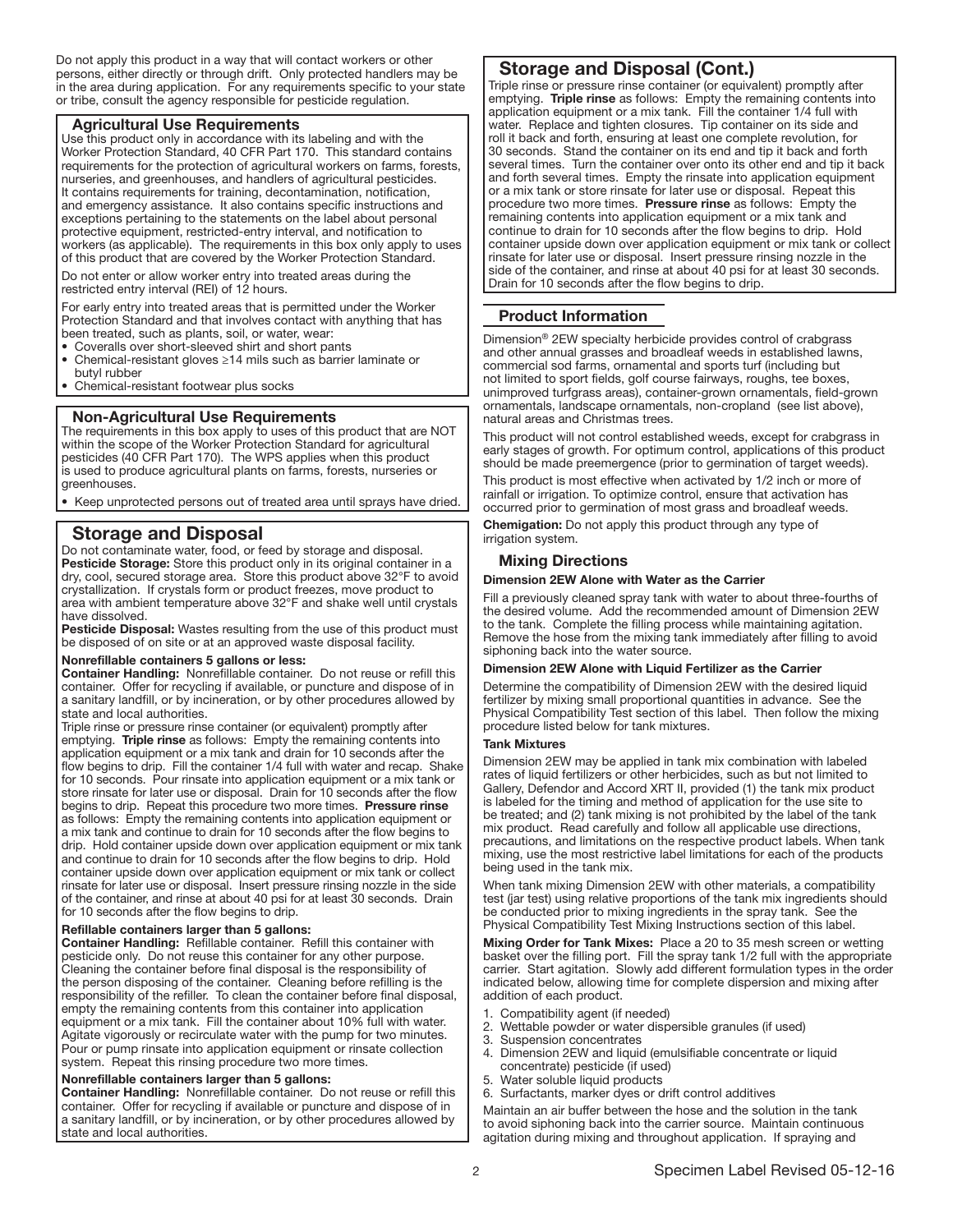Do not apply this product in a way that will contact workers or other persons, either directly or through drift. Only protected handlers may be in the area during application. For any requirements specific to your state or tribe, consult the agency responsible for pesticide regulation.

## Agricultural Use Requirements

Use this product only in accordance with its labeling and with the Worker Protection Standard, 40 CFR Part 170. This standard contains requirements for the protection of agricultural workers on farms, forests, nurseries, and greenhouses, and handlers of agricultural pesticides. It contains requirements for training, decontamination, notification, and emergency assistance. It also contains specific instructions and exceptions pertaining to the statements on the label about personal protective equipment, restricted-entry interval, and notification to workers (as applicable). The requirements in this box only apply to uses of this product that are covered by the Worker Protection Standard.

Do not enter or allow worker entry into treated areas during the restricted entry interval (REI) of 12 hours.

For early entry into treated areas that is permitted under the Worker Protection Standard and that involves contact with anything that has been treated, such as plants, soil, or water, wear:

- Coveralls over short-sleeved shirt and short pants
- Chemical-resistant gloves ≥14 mils such as barrier laminate or butyl rubber
- Chemical-resistant footwear plus socks

### Non-Agricultural Use Requirements

The requirements in this box apply to uses of this product that are NOT within the scope of the Worker Protection Standard for agricultural pesticides (40 CFR Part 170). The WPS applies when this product is used to produce agricultural plants on farms, forests, nurseries or greenhouses.

• Keep unprotected persons out of treated area until sprays have dried.

## Storage and Disposal

Do not contaminate water, food, or feed by storage and disposal. Pesticide Storage: Store this product only in its original container in a dry, cool, secured storage area. Store this product above 32°F to avoid crystallization. If crystals form or product freezes, move product to area with ambient temperature above 32°F and shake well until crystals have dissolved.

Pesticide Disposal: Wastes resulting from the use of this product must be disposed of on site or at an approved waste disposal facility.

#### Nonrefillable containers 5 gallons or less:

Container Handling: Nonrefillable container. Do not reuse or refill this container. Offer for recycling if available, or puncture and dispose of in a sanitary landfill, or by incineration, or by other procedures allowed by state and local authorities.

Triple rinse or pressure rinse container (or equivalent) promptly after emptying. Triple rinse as follows: Empty the remaining contents into application equipment or a mix tank and drain for 10 seconds after the flow begins to drip. Fill the container 1/4 full with water and recap. Shake for 10 seconds. Pour rinsate into application equipment or a mix tank or store rinsate for later use or disposal. Drain for 10 seconds after the flow begins to drip. Repeat this procedure two more times. Pressure rinse as follows: Empty the remaining contents into application equipment or a mix tank and continue to drain for 10 seconds after the flow begins to drip. Hold container upside down over application equipment or mix tank and continue to drain for 10 seconds after the flow begins to drip. Hold container upside down over application equipment or mix tank or collect rinsate for later use or disposal. Insert pressure rinsing nozzle in the side of the container, and rinse at about 40 psi for at least 30 seconds. Drain for 10 seconds after the flow begins to drip.

#### Refillable containers larger than 5 gallons:

Container Handling: Refillable container. Refill this container with pesticide only. Do not reuse this container for any other purpose. Cleaning the container before final disposal is the responsibility of the person disposing of the container. Cleaning before refilling is the responsibility of the refiller. To clean the container before final disposal, empty the remaining contents from this container into application equipment or a mix tank. Fill the container about 10% full with water. Agitate vigorously or recirculate water with the pump for two minutes. Pour or pump rinsate into application equipment or rinsate collection system. Repeat this rinsing procedure two more times.

#### Nonrefillable containers larger than 5 gallons:

Container Handling: Nonrefillable container. Do not reuse or refill this container. Offer for recycling if available or puncture and dispose of in a sanitary landfill, or by incineration, or by other procedures allowed by state and local authorities.

## Storage and Disposal (Cont.)

Triple rinse or pressure rinse container (or equivalent) promptly after emptying. Triple rinse as follows: Empty the remaining contents into application equipment or a mix tank. Fill the container 1/4 full with water. Replace and tighten closures. Tip container on its side and roll it back and forth, ensuring at least one complete revolution, for 30 seconds. Stand the container on its end and tip it back and forth several times. Turn the container over onto its other end and tip it back and forth several times. Empty the rinsate into application equipment or a mix tank or store rinsate for later use or disposal. Repeat this procedure two more times. Pressure rinse as follows: Empty the remaining contents into application equipment or a mix tank and continue to drain for 10 seconds after the flow begins to drip. Hold container upside down over application equipment or mix tank or collect rinsate for later use or disposal. Insert pressure rinsing nozzle in the side of the container, and rinse at about 40 psi for at least 30 seconds. Drain for 10 seconds after the flow begins to drip.

## Product Information

Dimension® 2EW specialty herbicide provides control of crabgrass and other annual grasses and broadleaf weeds in established lawns, commercial sod farms, ornamental and sports turf (including but not limited to sport fields, golf course fairways, roughs, tee boxes, unimproved turfgrass areas), container-grown ornamentals, field-grown ornamentals, landscape ornamentals, non-cropland (see list above), natural areas and Christmas trees.

This product will not control established weeds, except for crabgrass in early stages of growth. For optimum control, applications of this product should be made preemergence (prior to germination of target weeds).

This product is most effective when activated by 1/2 inch or more of rainfall or irrigation. To optimize control, ensure that activation has occurred prior to germination of most grass and broadleaf weeds.

Chemigation: Do not apply this product through any type of irrigation system.

#### Mixing Directions

## Dimension 2EW Alone with Water as the Carrier

Fill a previously cleaned spray tank with water to about three-fourths of the desired volume. Add the recommended amount of Dimension 2EW to the tank. Complete the filling process while maintaining agitation. Remove the hose from the mixing tank immediately after filling to avoid siphoning back into the water source.

## Dimension 2EW Alone with Liquid Fertilizer as the Carrier

Determine the compatibility of Dimension 2EW with the desired liquid fertilizer by mixing small proportional quantities in advance. See the Physical Compatibility Test section of this label. Then follow the mixing procedure listed below for tank mixtures.

#### Tank Mixtures

Dimension 2EW may be applied in tank mix combination with labeled rates of liquid fertilizers or other herbicides, such as but not limited to Gallery, Defendor and Accord XRT II, provided (1) the tank mix product is labeled for the timing and method of application for the use site to be treated; and (2) tank mixing is not prohibited by the label of the tank mix product. Read carefully and follow all applicable use directions, precautions, and limitations on the respective product labels. When tank mixing, use the most restrictive label limitations for each of the products being used in the tank mix.

When tank mixing Dimension 2EW with other materials, a compatibility test (jar test) using relative proportions of the tank mix ingredients should be conducted prior to mixing ingredients in the spray tank. See the Physical Compatibility Test Mixing Instructions section of this label.

Mixing Order for Tank Mixes: Place a 20 to 35 mesh screen or wetting basket over the filling port. Fill the spray tank 1/2 full with the appropriate carrier. Start agitation. Slowly add different formulation types in the order indicated below, allowing time for complete dispersion and mixing after addition of each product.

- Compatibility agent (if needed)
- 2. Wettable powder or water dispersible granules (if used)
- 3. Suspension concentrates
- 4. Dimension 2EW and liquid (emulsifiable concentrate or liquid concentrate) pesticide (if used)
- 5. Water soluble liquid products
- 6. Surfactants, marker dyes or drift control additives

Maintain an air buffer between the hose and the solution in the tank to avoid siphoning back into the carrier source. Maintain continuous agitation during mixing and throughout application. If spraying and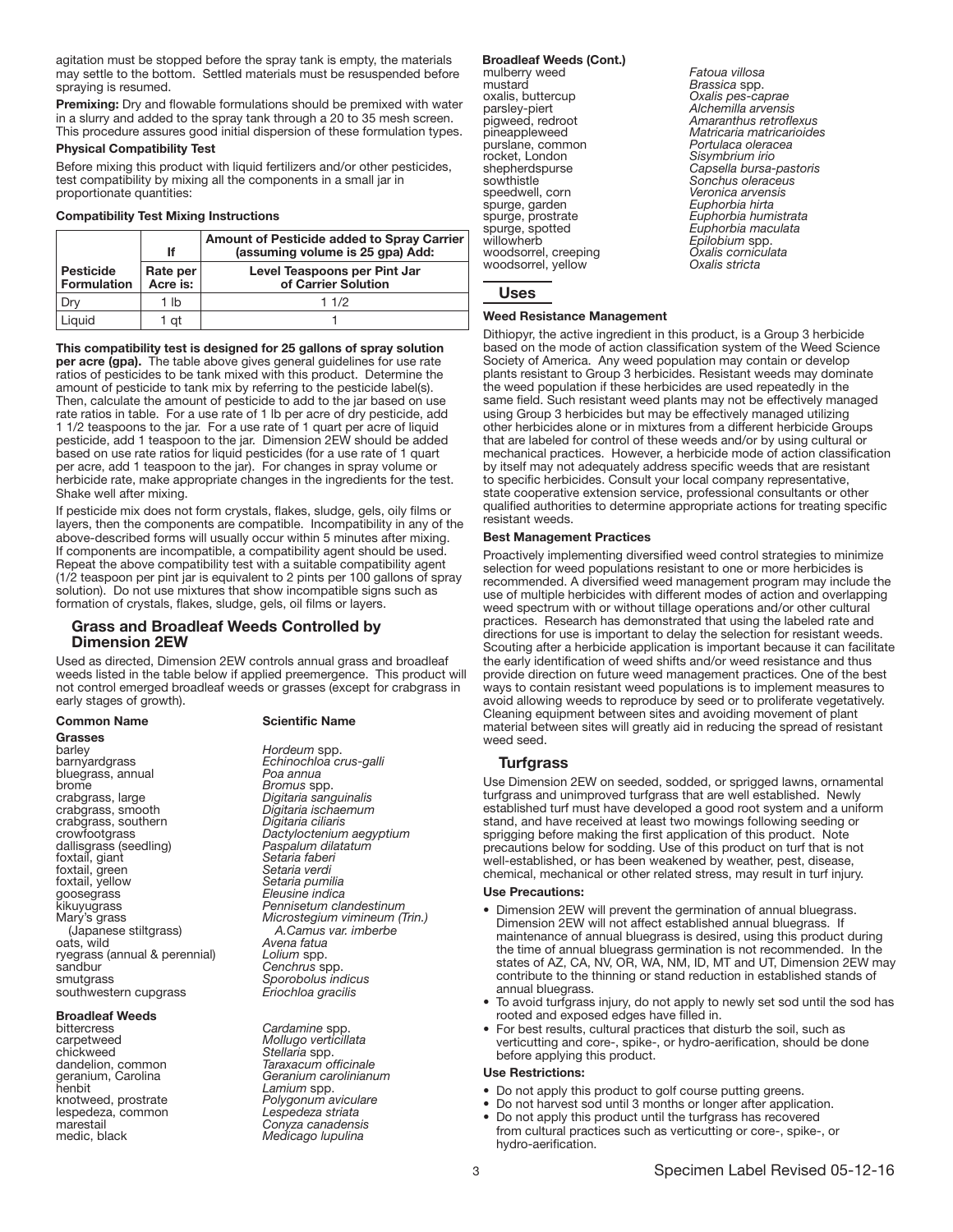agitation must be stopped before the spray tank is empty, the materials may settle to the bottom. Settled materials must be resuspended before spraying is resumed.

Premixing: Dry and flowable formulations should be premixed with water in a slurry and added to the spray tank through a 20 to 35 mesh screen. This procedure assures good initial dispersion of these formulation types.

## Physical Compatibility Test

Before mixing this product with liquid fertilizers and/or other pesticides, test compatibility by mixing all the components in a small jar in proportionate quantities:

#### Compatibility Test Mixing Instructions

|                                        | lf                   | Amount of Pesticide added to Spray Carrier<br>(assuming volume is 25 gpa) Add: |
|----------------------------------------|----------------------|--------------------------------------------------------------------------------|
| <b>Pesticide</b><br><b>Formulation</b> | Rate per<br>Acre is: | Level Teaspoons per Pint Jar<br>of Carrier Solution                            |
|                                        | 1 lb                 | 11/2                                                                           |
| Liauid                                 | 1 at                 |                                                                                |

Ī This compatibility test is designed for 25 gallons of spray solution per acre (gpa). The table above gives general guidelines for use rate ratios of pesticides to be tank mixed with this product. Determine the amount of pesticide to tank mix by referring to the pesticide label(s). Then, calculate the amount of pesticide to add to the jar based on use rate ratios in table. For a use rate of 1 lb per acre of dry pesticide, add 1 1/2 teaspoons to the jar. For a use rate of 1 quart per acre of liquid pesticide, add 1 teaspoon to the jar. Dimension 2EW should be added based on use rate ratios for liquid pesticides (for a use rate of 1 quart per acre, add 1 teaspoon to the jar). For changes in spray volume or herbicide rate, make appropriate changes in the ingredients for the test. Shake well after mixing.

If pesticide mix does not form crystals, flakes, sludge, gels, oily films or layers, then the components are compatible. Incompatibility in any of the above-described forms will usually occur within 5 minutes after mixing. If components are incompatible, a compatibility agent should be used. Repeat the above compatibility test with a suitable compatibility agent (1/2 teaspoon per pint jar is equivalent to 2 pints per 100 gallons of spray solution). Do not use mixtures that show incompatible signs such as formation of crystals, flakes, sludge, gels, oil films or layers.

### Grass and Broadleaf Weeds Controlled by Dimension 2EW

Used as directed, Dimension 2EW controls annual grass and broadleaf weeds listed in the table below if applied preemergence. This product will not control emerged broadleaf weeds or grasses (except for crabgrass in early stages of growth).

Grasses<br>barley barley *Hordeum* spp.<br>
barnyardgrass *Echinochloa cl* bluegrass, annual<br>*brome* brome *Bromus* spp. crabgrass, large *Digitaria sanguinalis* crabgrass, smooth *Digitaria ischaemum* crabgrass, southern *Digitaria ciliaris* dallisgrass (seedling) foxtail, giant<br>foxtail, green<br>foxtail, yellow foxtail, yellow *Setaria pumilia* goosegrass *Eleusine indica* Mary's grass (Japanese stiltgrass) ryegrass (annual & perennial)<br>sandbur smutgrass southwestern cupgrass

#### Broadleaf Weeds

bittercress *Cardamine* spp. carpetweed *Mollugo verticillata* chickweed **Stellaria** spp.<br>
dandelion, common **Stellaria** spp.<br> **Stellaria** spp. dandelion, common<br>geranium, Carolina henbit *Lamium* spp. lespedeza, common<br>marestail marestail *Conyza canadensis*

#### Common Name Scientific Name

Echinochloa crus-galli<br>Poa annua crowfootgrass *Dactyloctenium aegyptium* Setaria faberi<br>Setaria verdi Pennisetum clandestinum *Microstegium vimineum (Trin.) A.Camus var. imberbe* Avena fatua<br>*Lolium* spp. Cenchrus spp. *Sporobolus indicus Eriochloa gracilis*

geranium, Carolina *Geranium carolinianum* Polygonum aviculare<br>Lespedeza striata **Medicago lupulina** 

#### Broadleaf Weeds (Cont.)

mulberry weed *Fatoua villosa* mustard *Brassica* spp. oxalis, buttercup *Oxalis pes-caprae*<br>
parsley-piert *Alchemilla arvensis*<br>
pigweed, redroot *Amaranthus retrof* purslane, common<br>rocket, London rocket, London *Sisymbrium irio* sowthistle *Sonchus oleraceus* spurge, garden<br>spurge, prostrate spurge, spotted *Euphorbia maculata* woodsorrel, creeping *Oxalis cornic*<br>woodsorrel vellow *Oxalis stricta* woodsorrel, yellow

parsley-piert *Alchemilla arvensis* pigweed, redroot *Amaranthus retroflexus* pineappleweed *Matricaria matricarioides* shepherdspurse *Capsella bursa-pastoris* Veronica arvensis<br>Euphorbia hirta spurge, prostrate *Euphorbia humistrata* Ep<sup>i</sup>lobium spp.<br>Oxalis corniculata

Uses

## Weed Resistance Management

Dithiopyr, the active ingredient in this product, is a Group 3 herbicide based on the mode of action classification system of the Weed Science Society of America. Any weed population may contain or develop plants resistant to Group 3 herbicides. Resistant weeds may dominate the weed population if these herbicides are used repeatedly in the same field. Such resistant weed plants may not be effectively managed using Group 3 herbicides but may be effectively managed utilizing other herbicides alone or in mixtures from a different herbicide Groups that are labeled for control of these weeds and/or by using cultural or mechanical practices. However, a herbicide mode of action classification by itself may not adequately address specific weeds that are resistant to specific herbicides. Consult your local company representative, state cooperative extension service, professional consultants or other qualified authorities to determine appropriate actions for treating specific resistant weeds.

#### Best Management Practices

Proactively implementing diversified weed control strategies to minimize selection for weed populations resistant to one or more herbicides is recommended. A diversified weed management program may include the use of multiple herbicides with different modes of action and overlapping weed spectrum with or without tillage operations and/or other cultural practices. Research has demonstrated that using the labeled rate and directions for use is important to delay the selection for resistant weeds. Scouting after a herbicide application is important because it can facilitate the early identification of weed shifts and/or weed resistance and thus provide direction on future weed management practices. One of the best ways to contain resistant weed populations is to implement measures to avoid allowing weeds to reproduce by seed or to proliferate vegetatively. Cleaning equipment between sites and avoiding movement of plant material between sites will greatly aid in reducing the spread of resistant weed seed.

#### **Turfgrass**

Use Dimension 2EW on seeded, sodded, or sprigged lawns, ornamental turfgrass and unimproved turfgrass that are well established. Newly established turf must have developed a good root system and a uniform stand, and have received at least two mowings following seeding or sprigging before making the first application of this product. Note precautions below for sodding. Use of this product on turf that is not well-established, or has been weakened by weather, pest, disease, chemical, mechanical or other related stress, may result in turf injury.

## Use Precautions:

- Dimension 2EW will prevent the germination of annual bluegrass. Dimension 2EW will not affect established annual bluegrass. If maintenance of annual bluegrass is desired, using this product during the time of annual bluegrass germination is not recommended. In the states of AZ, CA, NV, OR, WA, NM, ID, MT and UT, Dimension 2EW may contribute to the thinning or stand reduction in established stands of annual bluegrass.
- To avoid turfgrass injury, do not apply to newly set sod until the sod has rooted and exposed edges have filled in.
- For best results, cultural practices that disturb the soil, such as verticutting and core-, spike-, or hydro-aerification, should be done before applying this product.

## Use Restrictions:

- Do not apply this product to golf course putting greens.
- Do not harvest sod until 3 months or longer after application.
- Do not apply this product until the turfgrass has recovered from cultural practices such as verticutting or core-, spike-, or hydro-aerification.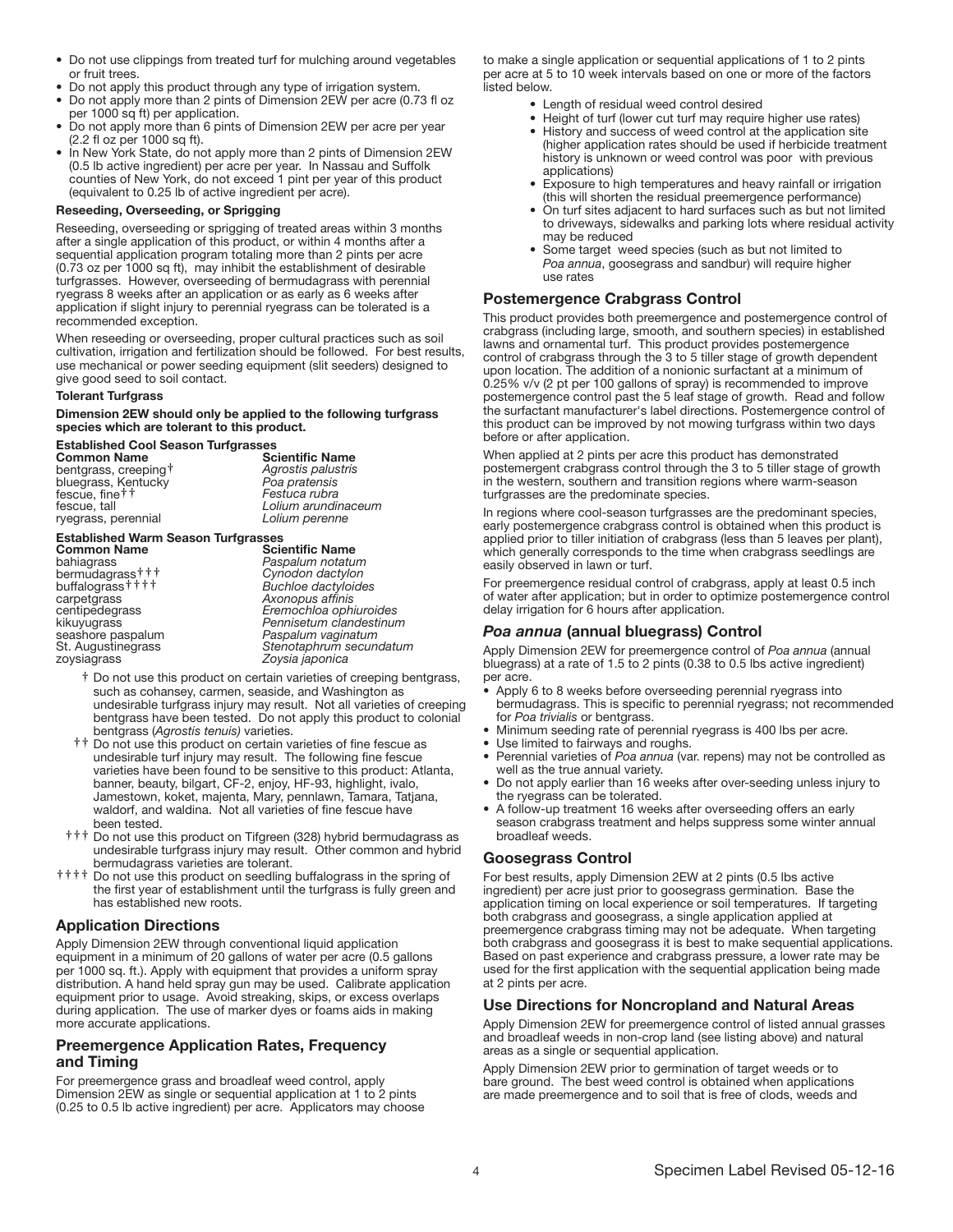- Do not use clippings from treated turf for mulching around vegetables or fruit trees.
- Do not apply this product through any type of irrigation system.
- Do not apply more than 2 pints of Dimension 2EW per acre (0.73 fl oz per 1000 sq ft) per application.
- Do not apply more than 6 pints of Dimension 2EW per acre per year (2.2 fl oz per 1000 sq ft).
- In New York State, do not apply more than 2 pints of Dimension 2EW (0.5 lb active ingredient) per acre per year. In Nassau and Suffolk counties of New York, do not exceed 1 pint per year of this product (equivalent to 0.25 lb of active ingredient per acre).

#### Reseeding, Overseeding, or Sprigging

Reseeding, overseeding or sprigging of treated areas within 3 months after a single application of this product, or within 4 months after a sequential application program totaling more than 2 pints per acre (0.73 oz per 1000 sq ft), may inhibit the establishment of desirable turfgrasses. However, overseeding of bermudagrass with perennial ryegrass 8 weeks after an application or as early as 6 weeks after application if slight injury to perennial ryegrass can be tolerated is a recommended exception.

When reseeding or overseeding, proper cultural practices such as soil cultivation, irrigation and fertilization should be followed. For best results, use mechanical or power seeding equipment (slit seeders) designed to give good seed to soil contact.

#### **Tolerant Turfgrass**

Dimension 2EW should only be applied to the following turfgrass species which are tolerant to this product.

#### Established Cool Season Turfgrasses

| <b>Common Name</b>   | <b>Scientific Name</b> |
|----------------------|------------------------|
| bentgrass, creeping† | Agrostis palustris     |
| bluegrass, Kentucky  | Poa pratensis          |
| fescue, fine††       | Festuca rubra          |
| fescue. tall         | Lolium arundinaceum    |
| ryegrass, perennial  | Lolium perenne         |
|                      |                        |

#### Established Warm Season Turfgrasses

| Stenotaphrum secundatum<br>St. Augustinegrass | <b>Common Name</b><br>bahiagrass<br>bermudagrass†††<br>buffalograss††††<br>carpetgrass<br>centipedegrass<br>kikuyugrass | <b>Scientific Name</b><br>Paspalum notatum<br>Cynodon dactylon<br><b>Buchloe dactyloides</b><br>Axonopus affinis<br>Eremochloa ophiuroides<br>Pennisetum clandestinum |  |
|-----------------------------------------------|-------------------------------------------------------------------------------------------------------------------------|-----------------------------------------------------------------------------------------------------------------------------------------------------------------------|--|
|                                               | seashore paspalum<br>zoysiagrass                                                                                        | Paspalum vaginatum<br>Zoysia japonica                                                                                                                                 |  |

- † Do not use this product on certain varieties of creeping bentgrass, such as cohansey, carmen, seaside, and Washington as undesirable turfgrass injury may result. Not all varieties of creeping bentgrass have been tested. Do not apply this product to colonial bentgrass (*Agrostis tenuis)* varieties.
- †† Do not use this product on certain varieties of fine fescue as undesirable turf injury may result. The following fine fescue varieties have been found to be sensitive to this product: Atlanta, banner, beauty, bilgart, CF-2, enjoy, HF-93, highlight, ivalo, Jamestown, koket, majenta, Mary, pennlawn, Tamara, Tatjana, waldorf, and waldina. Not all varieties of fine fescue have been tested.
- ††† Do not use this product on Tifgreen (328) hybrid bermudagrass as undesirable turfgrass injury may result. Other common and hybrid
- $\ddagger$   $\ddagger$   $\ddagger$  Do not use this product on seedling buffalograss in the spring of the first year of establishment until the turfgrass is fully green and has established new roots.

## Application Directions

Apply Dimension 2EW through conventional liquid application equipment in a minimum of 20 gallons of water per acre (0.5 gallons per 1000 sq. ft.). Apply with equipment that provides a uniform spray distribution. A hand held spray gun may be used. Calibrate application equipment prior to usage. Avoid streaking, skips, or excess overlaps during application. The use of marker dyes or foams aids in making more accurate applications.

## Preemergence Application Rates, Frequency and Timing

For preemergence grass and broadleaf weed control, apply Dimension 2EW as single or sequential application at 1 to 2 pints (0.25 to 0.5 lb active ingredient) per acre. Applicators may choose to make a single application or sequential applications of 1 to 2 pints per acre at 5 to 10 week intervals based on one or more of the factors listed below.

- Length of residual weed control desired
- Height of turf (lower cut turf may require higher use rates)
- History and success of weed control at the application site (higher application rates should be used if herbicide treatment history is unknown or weed control was poor with previous applications)
- Exposure to high temperatures and heavy rainfall or irrigation (this will shorten the residual preemergence performance)
- On turf sites adjacent to hard surfaces such as but not limited to driveways, sidewalks and parking lots where residual activity may be reduced
- Some target weed species (such as but not limited to *Poa annua*, goosegrass and sandbur) will require higher use rates

## Postemergence Crabgrass Control

This product provides both preemergence and postemergence control of crabgrass (including large, smooth, and southern species) in established lawns and ornamental turf. This product provides postemergence control of crabgrass through the 3 to 5 tiller stage of growth dependent upon location. The addition of a nonionic surfactant at a minimum of 0.25% v/v (2 pt per 100 gallons of spray) is recommended to improve postemergence control past the 5 leaf stage of growth. Read and follow the surfactant manufacturer's label directions. Postemergence control of this product can be improved by not mowing turfgrass within two days before or after application.

When applied at 2 pints per acre this product has demonstrated postemergent crabgrass control through the 3 to 5 tiller stage of growth in the western, southern and transition regions where warm-season turfgrasses are the predominate species.

In regions where cool-season turfgrasses are the predominant species, early postemergence crabgrass control is obtained when this product is applied prior to tiller initiation of crabgrass (less than 5 leaves per plant), which generally corresponds to the time when crabgrass seedlings are easily observed in lawn or turf.

For preemergence residual control of crabgrass, apply at least 0.5 inch of water after application; but in order to optimize postemergence control delay irrigation for 6 hours after application.

## *Poa annua* (annual bluegrass) Control

Apply Dimension 2EW for preemergence control of *Poa annua* (annual bluegrass) at a rate of 1.5 to 2 pints (0.38 to 0.5 lbs active ingredient) per acre.

- Apply 6 to 8 weeks before overseeding perennial ryegrass into bermudagrass. This is specific to perennial ryegrass; not recommended for *Poa trivialis* or bentgrass.
- Minimum seeding rate of perennial ryegrass is 400 lbs per acre.
- Use limited to fairways and roughs.
- Perennial varieties of *Poa annua* (var. repens) may not be controlled as well as the true annual variety.
- Do not apply earlier than 16 weeks after over-seeding unless injury to the ryegrass can be tolerated.
- A follow-up treatment 16 weeks after overseeding offers an early season crabgrass treatment and helps suppress some winter annual broadleaf weeds.

## Goosegrass Control

For best results, apply Dimension 2EW at 2 pints (0.5 lbs active ingredient) per acre just prior to goosegrass germination. Base the application timing on local experience or soil temperatures. If targeting both crabgrass and goosegrass, a single application applied at preemergence crabgrass timing may not be adequate. When targeting both crabgrass and goosegrass it is best to make sequential applications. Based on past experience and crabgrass pressure, a lower rate may be used for the first application with the sequential application being made at 2 pints per acre.

## Use Directions for Noncropland and Natural Areas

Apply Dimension 2EW for preemergence control of listed annual grasses and broadleaf weeds in non-crop land (see listing above) and natural areas as a single or sequential application.

Apply Dimension 2EW prior to germination of target weeds or to bare ground. The best weed control is obtained when applications are made preemergence and to soil that is free of clods, weeds and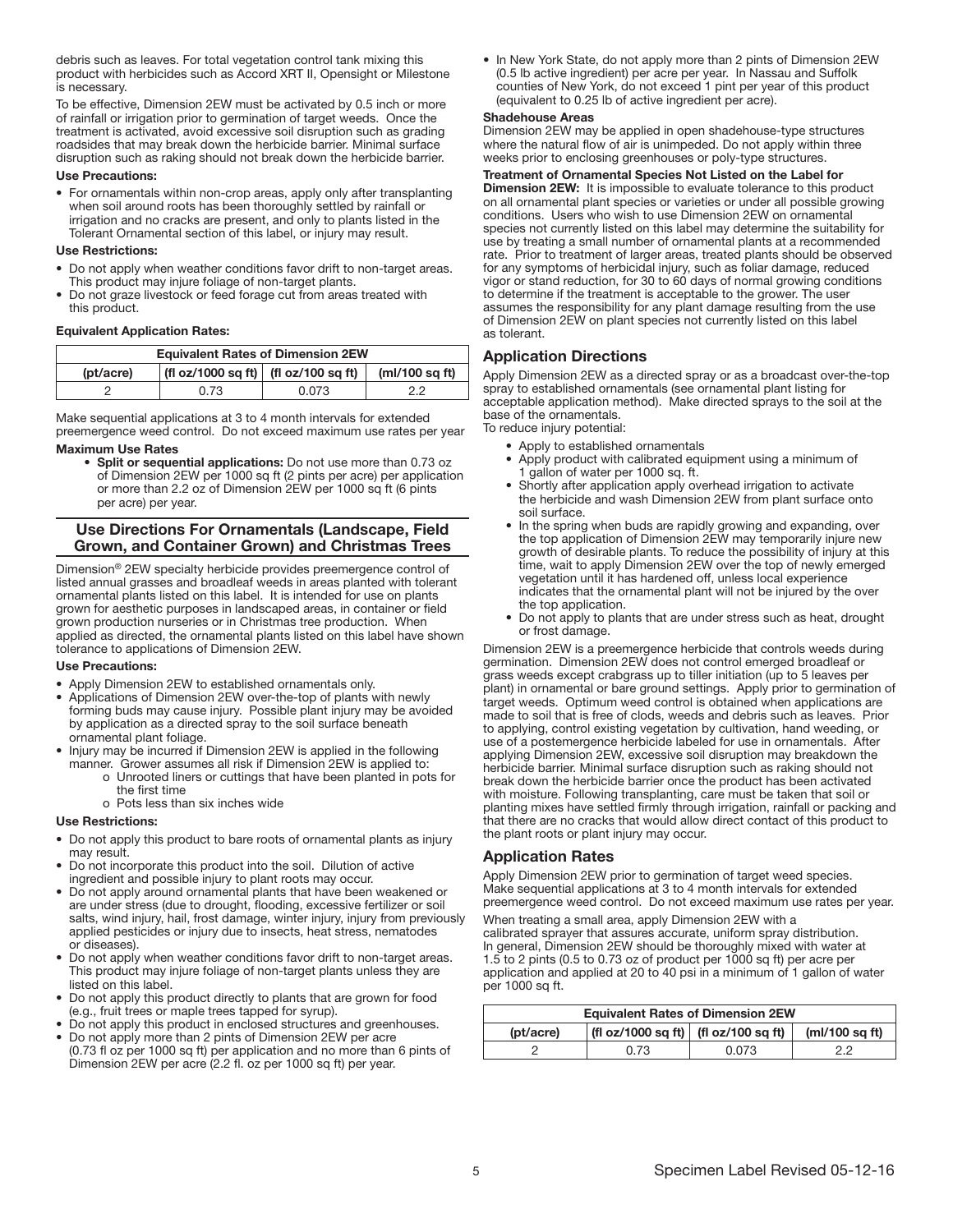debris such as leaves. For total vegetation control tank mixing this product with herbicides such as Accord XRT II, Opensight or Milestone is necessary.

To be effective, Dimension 2EW must be activated by 0.5 inch or more of rainfall or irrigation prior to germination of target weeds. Once the treatment is activated, avoid excessive soil disruption such as grading roadsides that may break down the herbicide barrier. Minimal surface disruption such as raking should not break down the herbicide barrier.

## Use Precautions:

• For ornamentals within non-crop areas, apply only after transplanting when soil around roots has been thoroughly settled by rainfall or irrigation and no cracks are present, and only to plants listed in the Tolerant Ornamental section of this label, or injury may result.

## Use Restrictions:

- Do not apply when weather conditions favor drift to non-target areas. This product may injure foliage of non-target plants.
- Do not graze livestock or feed forage cut from areas treated with this product.

## Equivalent Application Rates:

| <b>Equivalent Rates of Dimension 2EW</b>                               |      |       |    |  |
|------------------------------------------------------------------------|------|-------|----|--|
| (fl oz/1000 sq ft) $ $ (fl oz/100 sq ft)<br>(mI/100 sqft)<br>(pt/acre) |      |       |    |  |
|                                                                        | 0.73 | 0.073 | っっ |  |
|                                                                        |      |       |    |  |

Make sequential applications at 3 to 4 month intervals for extended preemergence weed control. Do not exceed maximum use rates per year

#### Maximum Use Rates

• Split or sequential applications: Do not use more than 0.73 oz of Dimension 2EW per 1000 sq ft (2 pints per acre) per application or more than 2.2 oz of Dimension 2EW per 1000 sq ft (6 pints per acre) per year.

#### Use Directions For Ornamentals (Landscape, Field Grown, and Container Grown) and Christmas Trees

Dimension® 2EW specialty herbicide provides preemergence control of listed annual grasses and broadleaf weeds in areas planted with tolerant ornamental plants listed on this label. It is intended for use on plants grown for aesthetic purposes in landscaped areas, in container or field grown production nurseries or in Christmas tree production. When applied as directed, the ornamental plants listed on this label have shown tolerance to applications of Dimension 2EW.

#### Use Precautions: j

- Apply Dimension 2EW to established ornamentals only.
- Applications of Dimension 2EW over-the-top of plants with newly forming buds may cause injury. Possible plant injury may be avoided by application as a directed spray to the soil surface beneath ornamental plant foliage.
- Injury may be incurred if Dimension 2EW is applied in the following manner. Grower assumes all risk if Dimension 2EW is applied to:
	- o Unrooted liners or cuttings that have been planted in pots for the first time
	- o Pots less than six inches wide

## Use Restrictions:

- Do not apply this product to bare roots of ornamental plants as injury may result.
- Do not incorporate this product into the soil. Dilution of active ingredient and possible injury to plant roots may occur.
- Do not apply around ornamental plants that have been weakened or are under stress (due to drought, flooding, excessive fertilizer or soil salts, wind injury, hail, frost damage, winter injury, injury from previously applied pesticides or injury due to insects, heat stress, nematodes or diseases).
- Do not apply when weather conditions favor drift to non-target areas. This product may injure foliage of non-target plants unless they are listed on this label.
- Do not apply this product directly to plants that are grown for food (e.g., fruit trees or maple trees tapped for syrup).
- Do not apply this product in enclosed structures and greenhouses. • Do not apply more than 2 pints of Dimension 2EW per acre
- (0.73 fl oz per 1000 sq ft) per application and no more than 6 pints of Dimension 2EW per acre (2.2 fl. oz per 1000 sq ft) per year.

• In New York State, do not apply more than 2 pints of Dimension 2EW (0.5 lb active ingredient) per acre per year. In Nassau and Suffolk counties of New York, do not exceed 1 pint per year of this product (equivalent to 0.25 lb of active ingredient per acre).

#### Shadehouse Areas

Dimension 2EW may be applied in open shadehouse-type structures where the natural flow of air is unimpeded. Do not apply within three weeks prior to enclosing greenhouses or poly-type structures.

#### Treatment of Ornamental Species Not Listed on the Label for

Dimension 2EW: It is impossible to evaluate tolerance to this product on all ornamental plant species or varieties or under all possible growing conditions. Users who wish to use Dimension 2EW on ornamental species not currently listed on this label may determine the suitability for use by treating a small number of ornamental plants at a recommended rate. Prior to treatment of larger areas, treated plants should be observed for any symptoms of herbicidal injury, such as foliar damage, reduced vigor or stand reduction, for 30 to 60 days of normal growing conditions to determine if the treatment is acceptable to the grower. The user assumes the responsibility for any plant damage resulting from the use of Dimension 2EW on plant species not currently listed on this label as tolerant.

#### Application Directions

Apply Dimension 2EW as a directed spray or as a broadcast over-the-top spray to established ornamentals (see ornamental plant listing for acceptable application method). Make directed sprays to the soil at the base of the ornamentals.

To reduce injury potential:

- Apply to established ornamentals
- Apply product with calibrated equipment using a minimum of 1 gallon of water per 1000 sq. ft.
- Shortly after application apply overhead irrigation to activate the herbicide and wash Dimension 2EW from plant surface onto soil surface.
- In the spring when buds are rapidly growing and expanding, over the top application of Dimension 2EW may temporarily injure new growth of desirable plants. To reduce the possibility of injury at this time, wait to apply Dimension 2EW over the top of newly emerged vegetation until it has hardened off, unless local experience indicates that the ornamental plant will not be injured by the over the top application.
- Do not apply to plants that are under stress such as heat, drought or frost damage.

Dimension 2EW is a preemergence herbicide that controls weeds during germination. Dimension 2EW does not control emerged broadleaf or grass weeds except crabgrass up to tiller initiation (up to 5 leaves per plant) in ornamental or bare ground settings. Apply prior to germination of target weeds. Optimum weed control is obtained when applications are made to soil that is free of clods, weeds and debris such as leaves. Prior to applying, control existing vegetation by cultivation, hand weeding, or use of a postemergence herbicide labeled for use in ornamentals. After applying Dimension 2EW, excessive soil disruption may breakdown the herbicide barrier. Minimal surface disruption such as raking should not break down the herbicide barrier once the product has been activated with moisture. Following transplanting, care must be taken that soil or planting mixes have settled firmly through irrigation, rainfall or packing and that there are no cracks that would allow direct contact of this product to the plant roots or plant injury may occur.

#### Application Rates

Apply Dimension 2EW prior to germination of target weed species. Make sequential applications at 3 to 4 month intervals for extended preemergence weed control. Do not exceed maximum use rates per year.

When treating a small area, apply Dimension 2EW with a calibrated sprayer that assures accurate, uniform spray distribution. In general, Dimension 2EW should be thoroughly mixed with water at 1.5 to 2 pints (0.5 to 0.73 oz of product per 1000 sq ft) per acre per application and applied at 20 to 40 psi in a minimum of 1 gallon of water per 1000 sq ft.

| <b>Equivalent Rates of Dimension 2EW</b>                                   |  |  |  |  |
|----------------------------------------------------------------------------|--|--|--|--|
| $ $ (fl oz/1000 sq ft) $ $ (fl oz/100 sq ft)<br>(mI/100 sqft)<br>(pt/acre) |  |  |  |  |
| 0.073<br>0.73<br>っっ                                                        |  |  |  |  |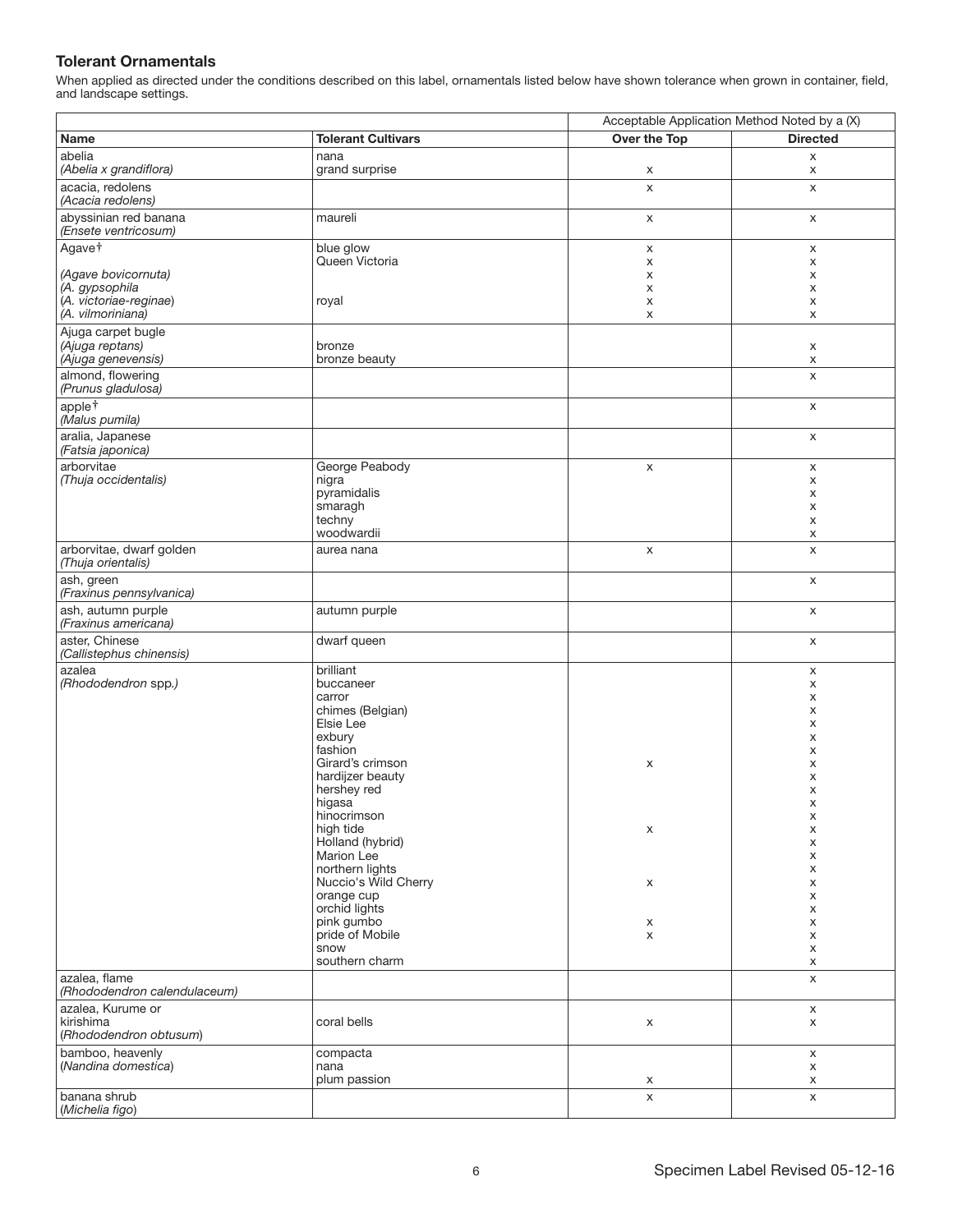## Tolerant Ornamentals

|                                                |                                         | Acceptable Application Method Noted by a (X) |                 |
|------------------------------------------------|-----------------------------------------|----------------------------------------------|-----------------|
| Name                                           | <b>Tolerant Cultivars</b>               | Over the Top                                 | <b>Directed</b> |
| abelia<br>(Abelia x grandiflora)               | nana<br>grand surprise                  | X                                            | X<br>X          |
| acacia, redolens<br>(Acacia redolens)          |                                         | $\mathsf X$                                  | X               |
| abyssinian red banana<br>(Ensete ventricosum)  | maureli                                 | X                                            | X               |
| Agave <sup>+</sup>                             | blue glow<br>Queen Victoria             | X<br>Х                                       | X<br>x          |
| (Agave bovicornuta)                            |                                         | X                                            | X               |
| (A. gypsophila                                 |                                         | X                                            | X               |
| (A. victoriae-reginae)<br>(A. vilmoriniana)    | royal                                   | X<br>X                                       | X<br>X          |
| Ajuga carpet bugle                             |                                         |                                              |                 |
| (Ajuga reptans)<br>(Ajuga genevensis)          | bronze<br>bronze beauty                 |                                              | X<br>X          |
| almond, flowering<br>(Prunus gladulosa)        |                                         |                                              | X               |
| applet<br>(Malus pumila)                       |                                         |                                              | X               |
| aralia, Japanese<br>(Fatsia japonica)          |                                         |                                              | X               |
| arborvitae<br>(Thuja occidentalis)             | George Peabody<br>nigra                 | $\mathsf X$                                  | X<br>X          |
|                                                | pyramidalis                             |                                              | x               |
|                                                | smaragh                                 |                                              | X               |
|                                                | techny<br>woodwardii                    |                                              | X<br>X          |
| arborvitae, dwarf golden<br>(Thuja orientalis) | aurea nana                              | X                                            | X               |
| ash, green<br>(Fraxinus pennsylvanica)         |                                         |                                              | X               |
| ash, autumn purple<br>(Fraxinus americana)     | autumn purple                           |                                              | X               |
| aster, Chinese<br>(Callistephus chinensis)     | dwarf queen                             |                                              | X               |
| azalea<br>(Rhododendron spp.)                  | brilliant<br>buccaneer                  |                                              | X<br>x          |
|                                                | carror                                  |                                              | X               |
|                                                | chimes (Belgian)                        |                                              | X               |
|                                                | Elsie Lee<br>exbury                     |                                              | X<br>X          |
|                                                | fashion                                 |                                              | X               |
|                                                | Girard's crimson                        | X                                            | X               |
|                                                | hardijzer beauty<br>hershey red         |                                              | X<br>X          |
|                                                | higasa                                  |                                              | х               |
|                                                | hinocrimson                             |                                              | X               |
|                                                | high tide<br>Holland (hybrid)           | X                                            | X<br>X          |
|                                                | Marion Lee                              |                                              | X               |
|                                                | northern lights<br>Nuccio's Wild Cherry |                                              | X               |
|                                                | orange cup                              | X                                            | X<br>X          |
|                                                | orchid lights                           |                                              | X               |
|                                                | pink gumbo<br>pride of Mobile           | X                                            | x               |
|                                                | snow                                    | X                                            | X<br>X          |
|                                                | southern charm                          |                                              | X               |
| azalea, flame<br>(Rhododendron calendulaceum)  |                                         |                                              | X               |
| azalea, Kurume or                              |                                         |                                              | $\mathsf X$     |
| kirishima<br>(Rhododendron obtusum)            | coral bells                             | X                                            | $\mathsf X$     |
| bamboo, heavenly<br>(Nandina domestica)        | compacta<br>nana                        |                                              | X<br>X          |
|                                                | plum passion                            | X                                            | X               |
| banana shrub<br>(Michelia figo)                |                                         | X                                            | $\mathsf X$     |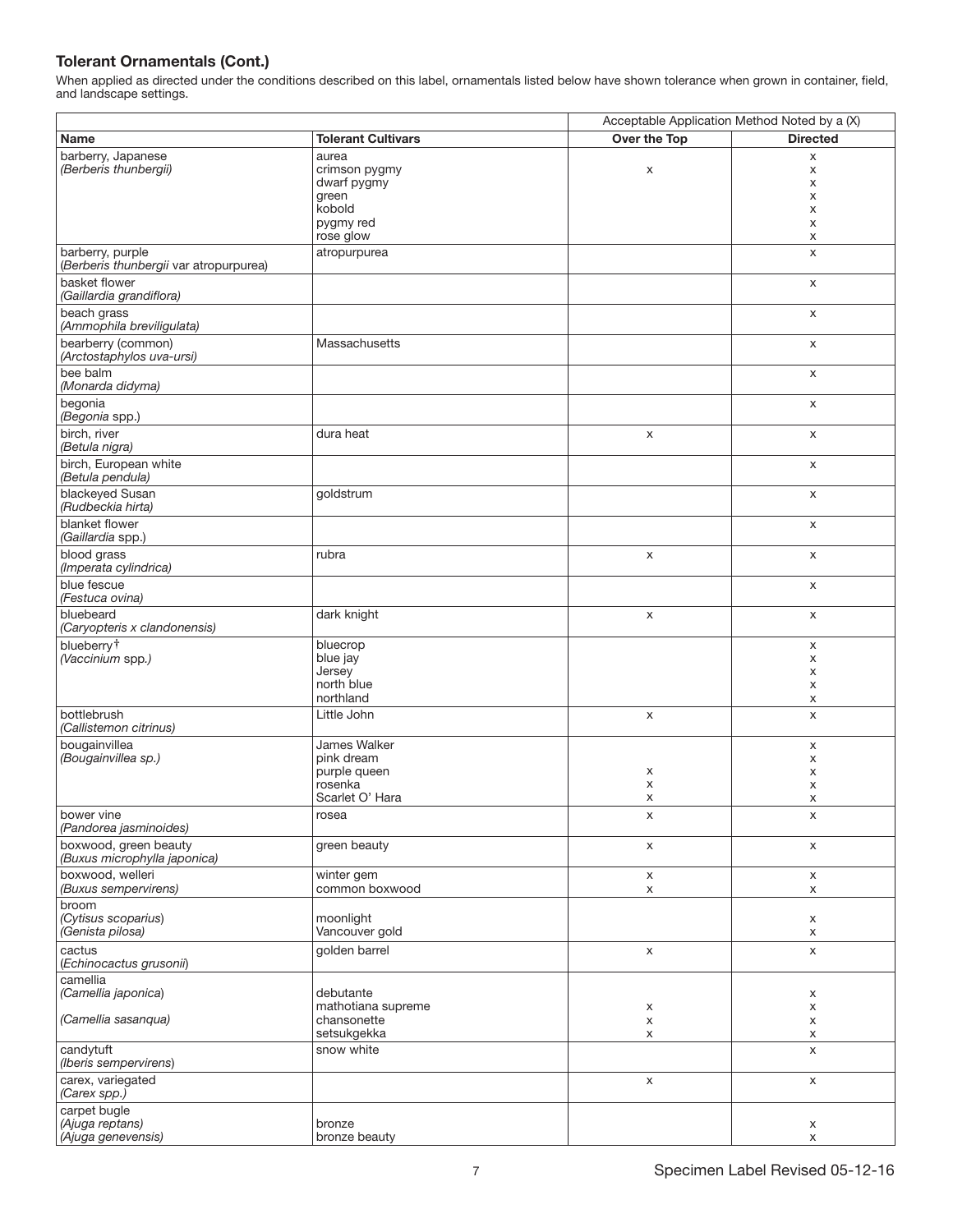|                                                            |                                                                          | Acceptable Application Method Noted by a (X) |                            |
|------------------------------------------------------------|--------------------------------------------------------------------------|----------------------------------------------|----------------------------|
| Name                                                       | <b>Tolerant Cultivars</b>                                                | Over the Top                                 | <b>Directed</b>            |
| barberry, Japanese<br>(Berberis thunbergii)                | aurea<br>crimson pygmy<br>dwarf pygmy<br>green<br>kobold<br>pygmy red    | X                                            | X<br>X<br>X<br>X<br>X<br>X |
|                                                            | rose glow                                                                |                                              | X                          |
| barberry, purple<br>(Berberis thunbergii var atropurpurea) | atropurpurea                                                             |                                              | X                          |
| basket flower<br>(Gaillardia grandiflora)                  |                                                                          |                                              | X                          |
| beach grass<br>(Ammophila breviligulata)                   |                                                                          |                                              | $\mathsf X$                |
| bearberry (common)<br>(Arctostaphylos uva-ursi)            | Massachusetts                                                            |                                              | X                          |
| bee balm<br>(Monarda didyma)                               |                                                                          |                                              | X                          |
| begonia<br>(Begonia spp.)                                  |                                                                          |                                              | X                          |
| birch, river<br>(Betula nigra)                             | dura heat                                                                | X                                            | X                          |
| birch, European white<br>(Betula pendula)                  |                                                                          |                                              | X                          |
| blackeyed Susan<br>(Rudbeckia hirta)                       | goldstrum                                                                |                                              | X                          |
| blanket flower<br>(Gaillardia spp.)                        |                                                                          |                                              | X                          |
| blood grass<br>(Imperata cylindrica)                       | rubra                                                                    | X                                            | X                          |
| blue fescue<br>(Festuca ovina)                             |                                                                          |                                              | X                          |
| bluebeard<br>(Caryopteris x clandonensis)                  | dark knight                                                              | $\mathsf X$                                  | X                          |
| blueberry <sup>†</sup><br>(Vaccinium spp.)                 | bluecrop<br>blue jay<br>Jersey<br>north blue                             |                                              | X<br>X<br>X<br>X           |
|                                                            | northland                                                                |                                              | X                          |
| bottlebrush<br>(Callistemon citrinus)                      | Little John                                                              | X                                            | X                          |
| bougainvillea<br>(Bougainvillea sp.)                       | James Walker<br>pink dream<br>purple queen<br>rosenka<br>Scarlet O' Hara | X<br>X<br>X                                  | X<br>X<br>X<br>X<br>X      |
| bower vine<br>(Pandorea jasminoides)                       | rosea                                                                    | х                                            | х                          |
| boxwood, green beauty<br>(Buxus microphylla japonica)      | green beauty                                                             | $\mathsf X$                                  | X                          |
| boxwood, welleri<br>(Buxus sempervirens)                   | winter gem<br>common boxwood                                             | $\mathsf X$<br>$\mathsf X$                   | $\mathsf X$<br>X           |
| broom<br>(Cytisus scoparius)<br>(Genista pilosa)           | moonlight<br>Vancouver gold                                              |                                              | X<br>X                     |
| cactus<br>(Echinocactus grusonii)                          | golden barrel                                                            | $\mathsf X$                                  | $\mathsf X$                |
| camellia<br>(Camellia japonica)<br>(Camellia sasanqua)     | debutante<br>mathotiana supreme<br>chansonette                           | X<br>$\mathsf X$                             | X<br>X<br>X                |
|                                                            | setsukgekka                                                              | X                                            | X                          |
| candytuft<br>(Iberis sempervirens)                         | snow white                                                               |                                              | $\pmb{\times}$             |
| carex, variegated<br>(Carex spp.)                          |                                                                          | $\mathsf X$                                  | $\mathsf X$                |
| carpet bugle<br>(Ajuga reptans)<br>Ajuga genevensis)       | bronze<br>bronze beauty                                                  |                                              | X<br>X                     |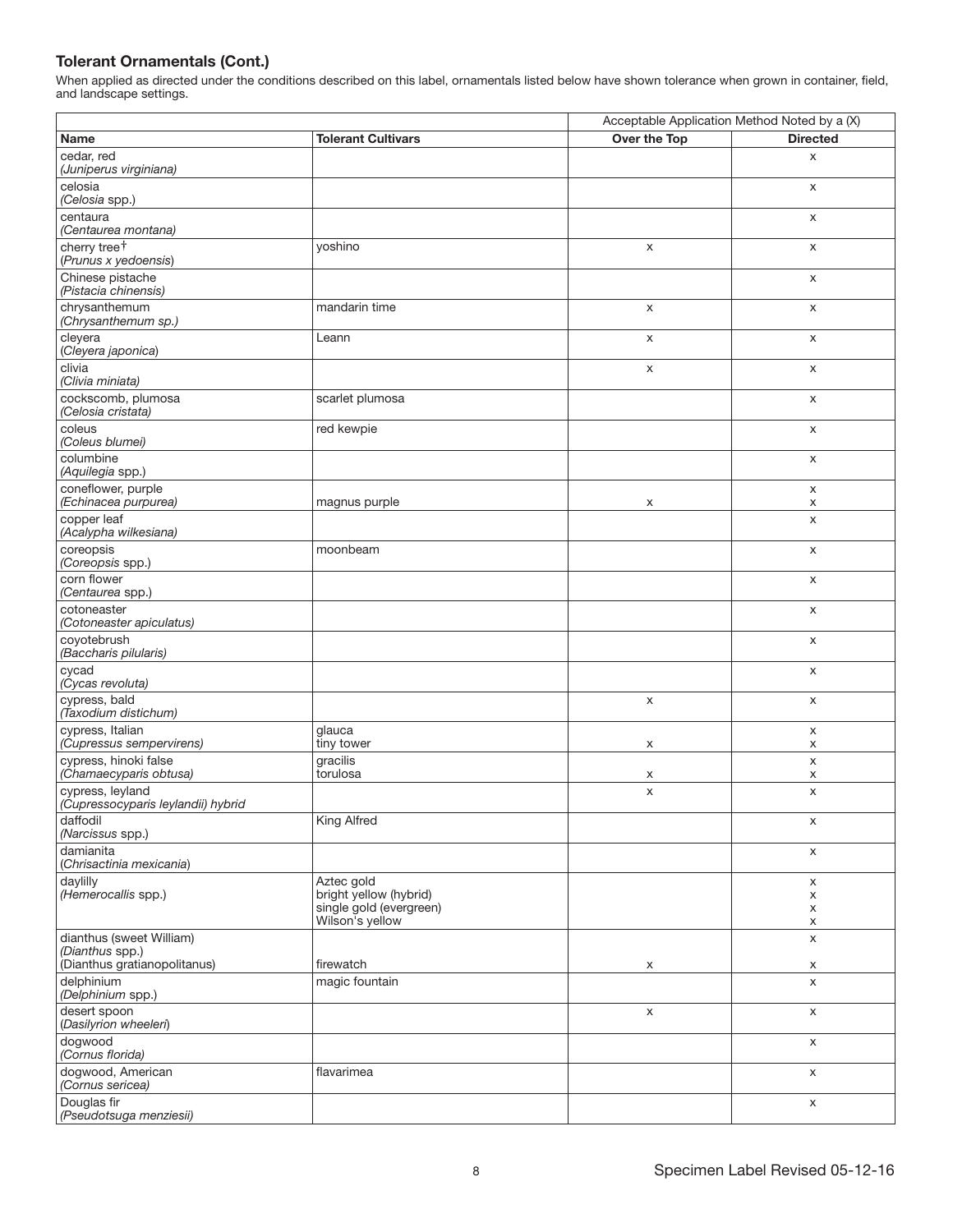|                                                        |                                                                 | Acceptable Application Method Noted by a (X) |                 |
|--------------------------------------------------------|-----------------------------------------------------------------|----------------------------------------------|-----------------|
| Name                                                   | <b>Tolerant Cultivars</b>                                       | Over the Top                                 | <b>Directed</b> |
| cedar, red<br>(Juniperus virginiana)                   |                                                                 |                                              | X               |
| celosia<br>(Celosia spp.)                              |                                                                 |                                              | X               |
| centaura<br>(Centaurea montana)                        |                                                                 |                                              | X               |
| cherry tree <sup>+</sup><br>(Prunus x yedoensis)       | yoshino                                                         | X                                            | X               |
| Chinese pistache<br>(Pistacia chinensis)               |                                                                 |                                              | X               |
| chrysanthemum<br>(Chrysanthemum sp.)                   | mandarin time                                                   | X                                            | X               |
| cleyera<br>(Cleyera japonica)                          | Leann                                                           | X                                            | X               |
| clivia<br>(Clivia miniata)                             |                                                                 | X                                            | X               |
| cockscomb, plumosa<br>(Celosia cristata)               | scarlet plumosa                                                 |                                              | X               |
| coleus<br>(Coleus blumei)                              | red kewpie                                                      |                                              | X               |
| columbine<br>(Aquilegia spp.)                          |                                                                 |                                              | X               |
| coneflower, purple<br>(Echinacea purpurea)             | magnus purple                                                   | X                                            | X<br>X          |
| copper leaf<br>(Acalypha wilkesiana)                   |                                                                 |                                              | $\pmb{\times}$  |
| coreopsis<br>(Coreopsis spp.)                          | moonbeam                                                        |                                              | X               |
| corn flower<br>(Centaurea spp.)                        |                                                                 |                                              | X               |
| cotoneaster<br>(Cotoneaster apiculatus)                |                                                                 |                                              | X               |
| coyotebrush<br>(Baccharis pilularis)                   |                                                                 |                                              | X               |
| cycad<br>(Cycas revoluta)                              |                                                                 |                                              | X               |
| cypress, bald<br>(Taxodium distichum)                  |                                                                 | X                                            | X               |
| cypress, Italian<br>(Cupressus sempervirens)           | glauca<br>tiny tower                                            | X                                            | x<br>х          |
| cypress, hinoki false<br>(Chamaecyparis obtusa)        | gracilis<br>torulosa                                            | х                                            | X<br>X          |
| cypress, leyland<br>(Cupressocyparis leylandii) hybrid |                                                                 | X                                            | X               |
| daffodil<br>(Narcissus spp.)                           | King Alfred                                                     |                                              | X               |
| damianita<br>(Chrisactinia mexicania)                  |                                                                 |                                              | X               |
| daylilly<br>(Hemerocallis spp.)                        | Aztec gold<br>bright yellow (hybrid)<br>single gold (evergreen) |                                              | X<br>X<br>X     |
| dianthus (sweet William)                               | Wilson's yellow                                                 |                                              | X<br>X          |
| (Dianthus spp.)<br>(Dianthus gratianopolitanus)        | firewatch                                                       | X                                            | X               |
| delphinium<br>(Delphinium spp.)                        | magic fountain                                                  |                                              | X               |
| desert spoon<br>(Dasilyrion wheeleri)                  |                                                                 | $\mathsf X$                                  | X               |
| dogwood<br>(Cornus florida)                            |                                                                 |                                              | X               |
| dogwood, American<br>(Cornus sericea)                  | flavarimea                                                      |                                              | X               |
| Douglas fir<br>(Pseudotsuga menziesii)                 |                                                                 |                                              | X               |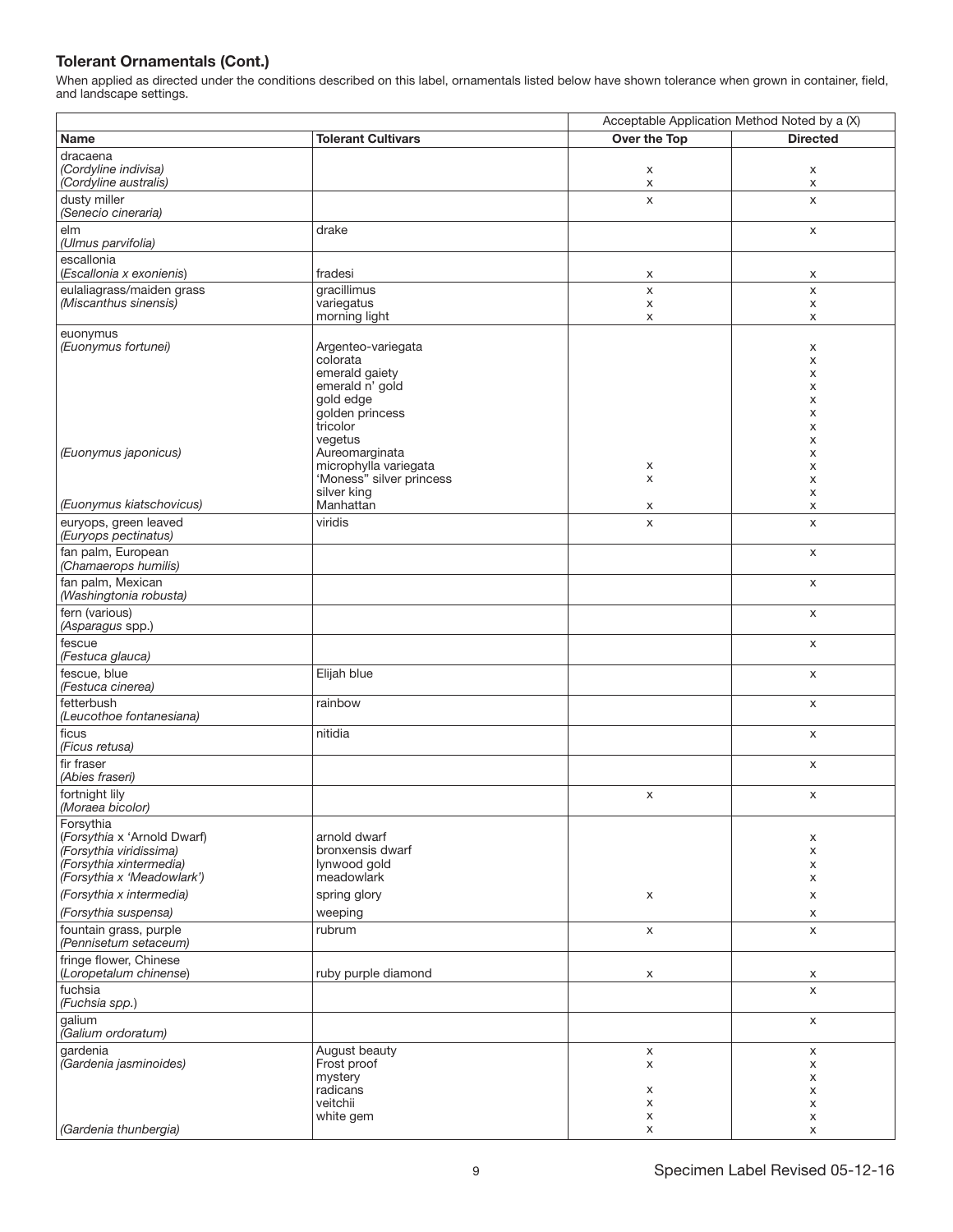|                                                                                                                                                          |                                                                                                                 | Acceptable Application Method Noted by a (X) |                                 |
|----------------------------------------------------------------------------------------------------------------------------------------------------------|-----------------------------------------------------------------------------------------------------------------|----------------------------------------------|---------------------------------|
| <b>Name</b>                                                                                                                                              | <b>Tolerant Cultivars</b>                                                                                       | Over the Top                                 | <b>Directed</b>                 |
| dracaena<br>(Cordyline indivisa)<br>(Cordyline australis)                                                                                                |                                                                                                                 | х<br>X                                       | х<br>X                          |
| dusty miller<br>(Senecio cineraria)                                                                                                                      |                                                                                                                 | X                                            | X                               |
| elm<br>(Ulmus parvifolia)                                                                                                                                | drake                                                                                                           |                                              | X                               |
| escallonia<br>(Escallonia x exonienis)                                                                                                                   | fradesi                                                                                                         | х                                            | х                               |
| eulaliagrass/maiden grass                                                                                                                                | gracillimus                                                                                                     | $\pmb{\times}$                               | X                               |
| (Miscanthus sinensis)                                                                                                                                    | variegatus<br>morning light                                                                                     | X<br>X                                       | X<br>X                          |
| euonymus<br>(Euonymus fortunei)                                                                                                                          | Argenteo-variegata<br>colorata<br>emerald gaiety<br>emerald n' gold<br>gold edge<br>golden princess<br>tricolor |                                              | х<br>X<br>х<br>X<br>X<br>х<br>X |
| (Euonymus japonicus)                                                                                                                                     | vegetus<br>Aureomarginata<br>microphylla variegata<br>'Moness" silver princess<br>silver king                   | х<br>X                                       | х<br>х<br>х<br>х<br>х           |
| (Euonymus kiatschovicus)                                                                                                                                 | Manhattan                                                                                                       | х                                            | X                               |
| euryops, green leaved<br>(Euryops pectinatus)                                                                                                            | viridis                                                                                                         | $\pmb{\times}$                               | X                               |
| fan palm, European<br>(Chamaerops humilis)                                                                                                               |                                                                                                                 |                                              | X                               |
| fan palm, Mexican<br>(Washingtonia robusta)                                                                                                              |                                                                                                                 |                                              | X                               |
| fern (various)<br>(Asparagus spp.)                                                                                                                       |                                                                                                                 |                                              | X                               |
| fescue<br>(Festuca glauca)                                                                                                                               |                                                                                                                 |                                              | X                               |
| fescue, blue<br>(Festuca cinerea)                                                                                                                        | Elijah blue                                                                                                     |                                              | х                               |
| fetterbush<br>(Leucothoe fontanesiana)                                                                                                                   | rainbow                                                                                                         |                                              | X                               |
| ficus<br>(Ficus retusa)                                                                                                                                  | nitidia                                                                                                         |                                              | X                               |
| fir fraser<br>(Abies fraseri)                                                                                                                            |                                                                                                                 |                                              | X                               |
| fortnight lily<br>(Moraea bicolor)                                                                                                                       |                                                                                                                 | X                                            | X                               |
| Forsythia<br>(Forsythia x 'Arnold Dwarf)<br>(Forsythia viridissima)<br>(Forsythia xintermedia)<br>(Forsythia x 'Meadowlark')<br>(Forsythia x intermedia) | arnold dwarf<br>bronxensis dwarf<br>lynwood gold<br>meadowlark<br>spring glory                                  | х                                            | х<br>X<br>х<br>х<br>X           |
| (Forsythia suspensa)                                                                                                                                     | weeping                                                                                                         |                                              | X                               |
| fountain grass, purple<br>(Pennisetum setaceum)                                                                                                          | rubrum                                                                                                          | X                                            | X                               |
| fringe flower, Chinese<br>(Loropetalum chinense)<br>fuchsia                                                                                              | ruby purple diamond                                                                                             | x                                            | x<br>X                          |
| (Fuchsia spp.)                                                                                                                                           |                                                                                                                 |                                              |                                 |
| galium<br>(Galium ordoratum)                                                                                                                             |                                                                                                                 |                                              | X                               |
| gardenia<br>(Gardenia jasminoides)                                                                                                                       | August beauty<br>Frost proof<br>mystery<br>radicans<br>veitchii<br>white gem                                    | $\pmb{\times}$<br>х<br>х<br>X<br>х           | X<br>x<br>х<br>х<br>x<br>x      |
| (Gardenia thunbergia)                                                                                                                                    |                                                                                                                 | X                                            | X                               |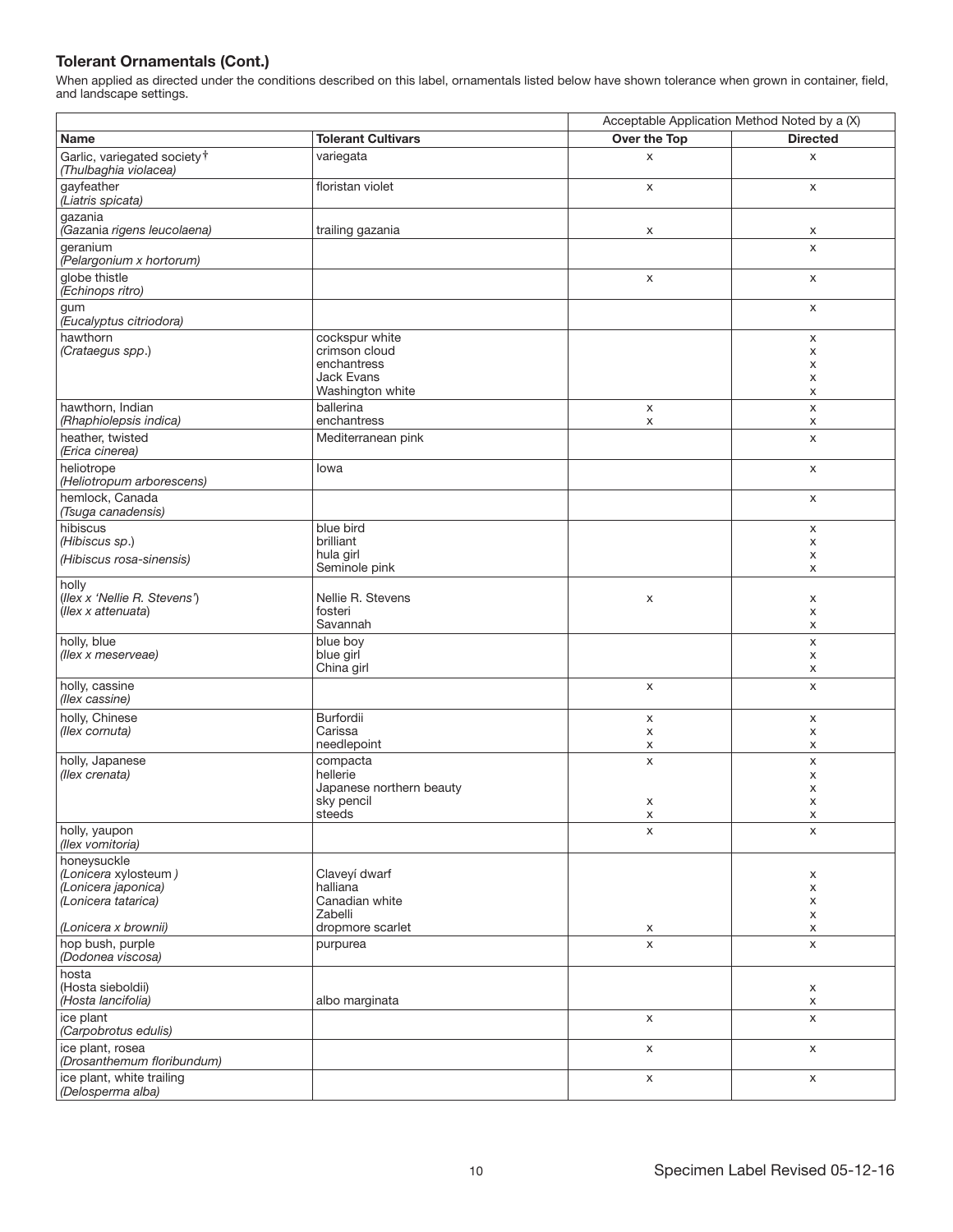|                                                                                   |                                                                                         | Acceptable Application Method Noted by a (X) |                       |
|-----------------------------------------------------------------------------------|-----------------------------------------------------------------------------------------|----------------------------------------------|-----------------------|
| Name                                                                              | <b>Tolerant Cultivars</b>                                                               | Over the Top                                 | <b>Directed</b>       |
| Garlic, variegated society <sup>†</sup><br>(Thulbaghia violacea)                  | variegata                                                                               | X                                            | X                     |
| gayfeather<br>(Liatris spicata)                                                   | floristan violet                                                                        | X                                            | X                     |
| gazania<br>(Gazania rigens leucolaena)                                            | trailing gazania                                                                        | X                                            | x                     |
| geranium<br>(Pelargonium x hortorum)                                              |                                                                                         |                                              | $\mathsf{x}$          |
| globe thistle<br>(Echinops ritro)                                                 |                                                                                         | X                                            | X                     |
| gum<br>(Eucalyptus citriodora)                                                    |                                                                                         |                                              | X                     |
| hawthorn<br>(Crataegus spp.)                                                      | cockspur white<br>crimson cloud<br>enchantress<br><b>Jack Evans</b><br>Washington white |                                              | x<br>X<br>х<br>х<br>X |
| hawthorn, Indian<br>(Rhaphiolepsis indica)                                        | ballerina<br>enchantress                                                                | X<br>X                                       | X<br>х                |
| heather, twisted<br>(Erica cinerea)                                               | Mediterranean pink                                                                      |                                              | X                     |
| heliotrope<br>(Heliotropum arborescens)                                           | lowa                                                                                    |                                              | X                     |
| hemlock, Canada<br>(Tsuga canadensis)                                             |                                                                                         |                                              | X                     |
| hibiscus<br>(Hibiscus sp.)                                                        | blue bird<br>brilliant                                                                  |                                              | X<br>X                |
| (Hibiscus rosa-sinensis)                                                          | hula girl<br>Seminole pink                                                              |                                              | х<br>X                |
| holly<br>(Ilex x 'Nellie R. Stevens')<br>(Ilex x attenuata)                       | Nellie R. Stevens<br>fosteri<br>Savannah                                                | X                                            | х<br>X<br>х           |
| holly, blue<br>(llex x meserveae)                                                 | blue boy<br>blue girl<br>China girl                                                     |                                              | X<br>х<br>X           |
| holly, cassine<br>(llex cassine)                                                  |                                                                                         | $\mathsf X$                                  | X                     |
| holly, Chinese<br>(llex cornuta)                                                  | Burfordii<br>Carissa<br>needlepoint                                                     | X<br>X<br>х                                  | X<br>x<br>X           |
| holly, Japanese<br>(llex crenata)                                                 | compacta<br>hellerie<br>Japanese northern beauty<br>sky pencil<br>steeds                | X<br>х<br>х                                  | X<br>х<br>х<br>X<br>х |
| holly, yaupon<br>(llex vomitoria)                                                 |                                                                                         | X                                            | X                     |
| honeysuckle<br>(Lonicera xylosteum)<br>(Lonicera japonica)<br>(Lonicera tatarica) | Claveyí dwarf<br>halliana<br>Canadian white<br>Zabelli                                  |                                              | x<br>X<br>х<br>x      |
| (Lonicera x brownii)                                                              | dropmore scarlet                                                                        | х                                            | X                     |
| hop bush, purple<br>(Dodonea viscosa)                                             | purpurea                                                                                | X                                            | X                     |
| hosta<br>(Hosta sieboldii)<br>(Hosta lancifolia)                                  | albo marginata                                                                          |                                              | X<br>X                |
| ice plant<br>(Carpobrotus edulis)                                                 |                                                                                         | X                                            | X                     |
| ice plant, rosea<br>(Drosanthemum floribundum)                                    |                                                                                         | X                                            | X                     |
| ice plant, white trailing<br>(Delosperma alba)                                    |                                                                                         | X                                            | X                     |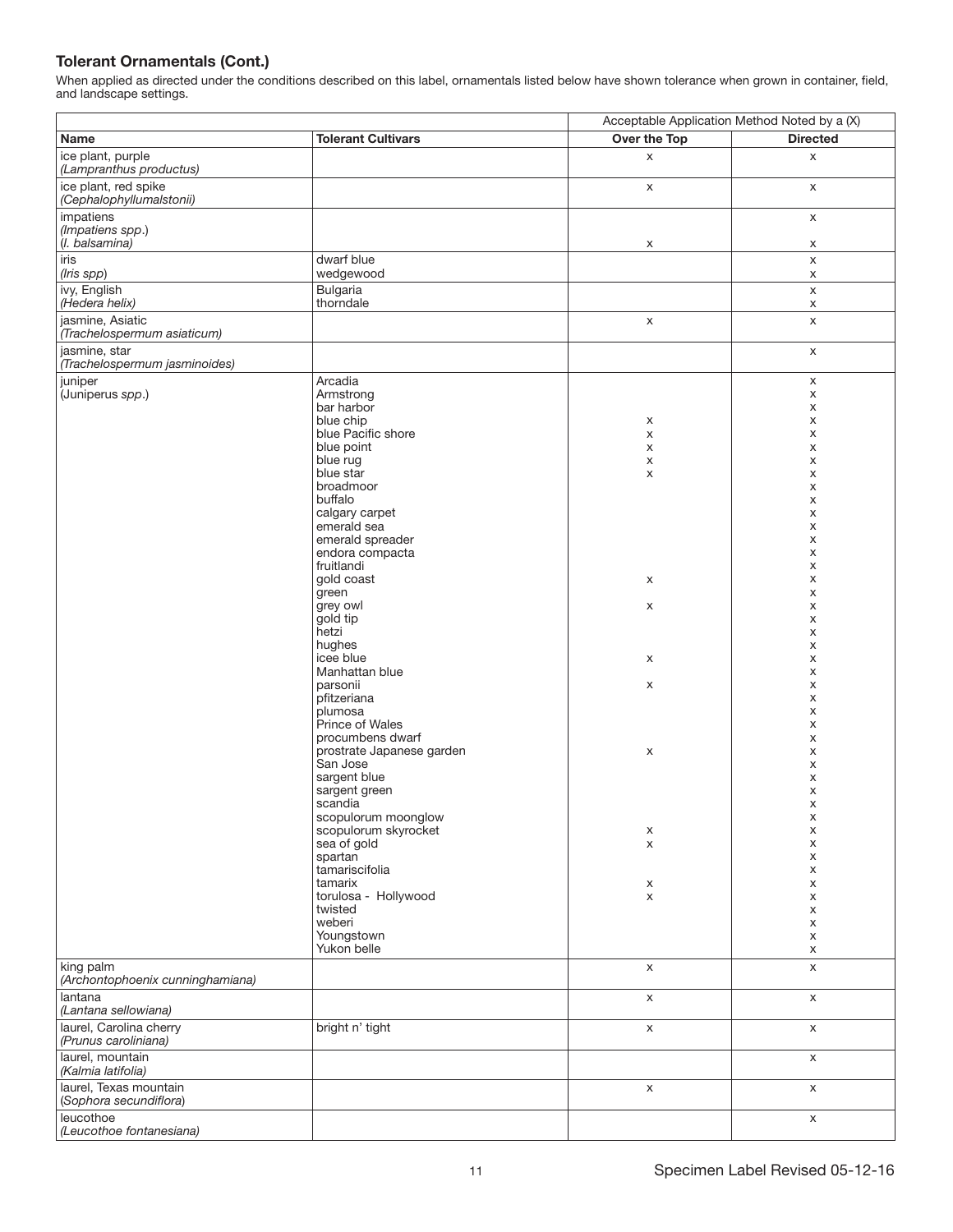|                                                  |                                                 | Acceptable Application Method Noted by a (X) |                  |
|--------------------------------------------------|-------------------------------------------------|----------------------------------------------|------------------|
| Name                                             | <b>Tolerant Cultivars</b>                       | Over the Top                                 | <b>Directed</b>  |
| ice plant, purple<br>(Lampranthus productus)     |                                                 | X                                            | X                |
| ice plant, red spike<br>(Cephalophyllumalstonii) |                                                 | X                                            | X                |
| impatiens<br>(Impatiens spp.)                    |                                                 |                                              | X                |
| (I. balsamina)<br>iris                           | dwarf blue                                      | x                                            | x<br>$\mathsf X$ |
| (Iris spp)                                       | wedgewood                                       |                                              | X                |
| ivy, English<br>(Hedera helix)                   | <b>Bulgaria</b><br>thorndale                    |                                              | $\mathsf X$<br>X |
| jasmine, Asiatic<br>(Trachelospermum asiaticum)  |                                                 | X                                            | $\mathsf X$      |
| jasmine, star<br>(Trachelospermum jasminoides)   |                                                 |                                              | $\mathsf X$      |
| juniper<br>(Juniperus spp.)                      | Arcadia<br>Armstrong<br>bar harbor<br>blue chip | х                                            | X<br>X<br>X<br>х |
|                                                  | blue Pacific shore                              | X                                            | X                |
|                                                  | blue point                                      | X                                            | X                |
|                                                  | blue rug<br>blue star                           | X                                            | X<br>X           |
|                                                  | broadmoor                                       | X                                            | X                |
|                                                  | buffalo                                         |                                              | х                |
|                                                  | calgary carpet                                  |                                              | X                |
|                                                  | emerald sea                                     |                                              | X                |
|                                                  | emerald spreader<br>endora compacta             |                                              | X<br>X           |
|                                                  | fruitlandi                                      |                                              | X                |
|                                                  | gold coast                                      | X                                            | X                |
|                                                  | green                                           |                                              | X                |
|                                                  | grey owl                                        | X                                            | X                |
|                                                  | gold tip<br>hetzi                               |                                              | X<br>X           |
|                                                  | hughes                                          |                                              | X                |
|                                                  | icee blue                                       | Х                                            | х                |
|                                                  | Manhattan blue                                  |                                              | X                |
|                                                  | parsonii<br>pfitzeriana                         | X                                            | X                |
|                                                  | plumosa                                         |                                              | X<br>X           |
|                                                  | Prince of Wales                                 |                                              | X                |
|                                                  | procumbens dwarf                                |                                              | х                |
|                                                  | prostrate Japanese garden                       | X                                            | X                |
|                                                  | San Jose<br>sargent blue                        |                                              | X                |
|                                                  | sargent green                                   |                                              | X<br>X           |
|                                                  | scandia                                         |                                              | X                |
|                                                  | scopulorum moonglow                             |                                              | х                |
|                                                  | scopulorum skyrocket                            | х                                            | X                |
|                                                  | sea of gold<br>spartan                          | X                                            | X<br>х           |
|                                                  | tamariscifolia                                  |                                              | X                |
|                                                  | tamarix                                         | х                                            | х                |
|                                                  | torulosa - Hollywood                            | X                                            | х                |
|                                                  | twisted<br>weberi                               |                                              | X<br>X           |
|                                                  | Youngstown                                      |                                              | X                |
|                                                  | Yukon belle                                     |                                              | X                |
| king palm<br>(Archontophoenix cunninghamiana)    |                                                 | $\mathsf X$                                  | X                |
| lantana<br>(Lantana sellowiana)                  |                                                 | X                                            | X                |
| laurel, Carolina cherry<br>(Prunus caroliniana)  | bright n' tight                                 | $\mathsf X$                                  | X                |
| laurel, mountain<br>(Kalmia latifolia)           |                                                 |                                              | X                |
| laurel, Texas mountain<br>(Sophora secundiflora) |                                                 | $\mathsf X$                                  | $\mathsf X$      |
| leucothoe<br>(Leucothoe fontanesiana)            |                                                 |                                              | X                |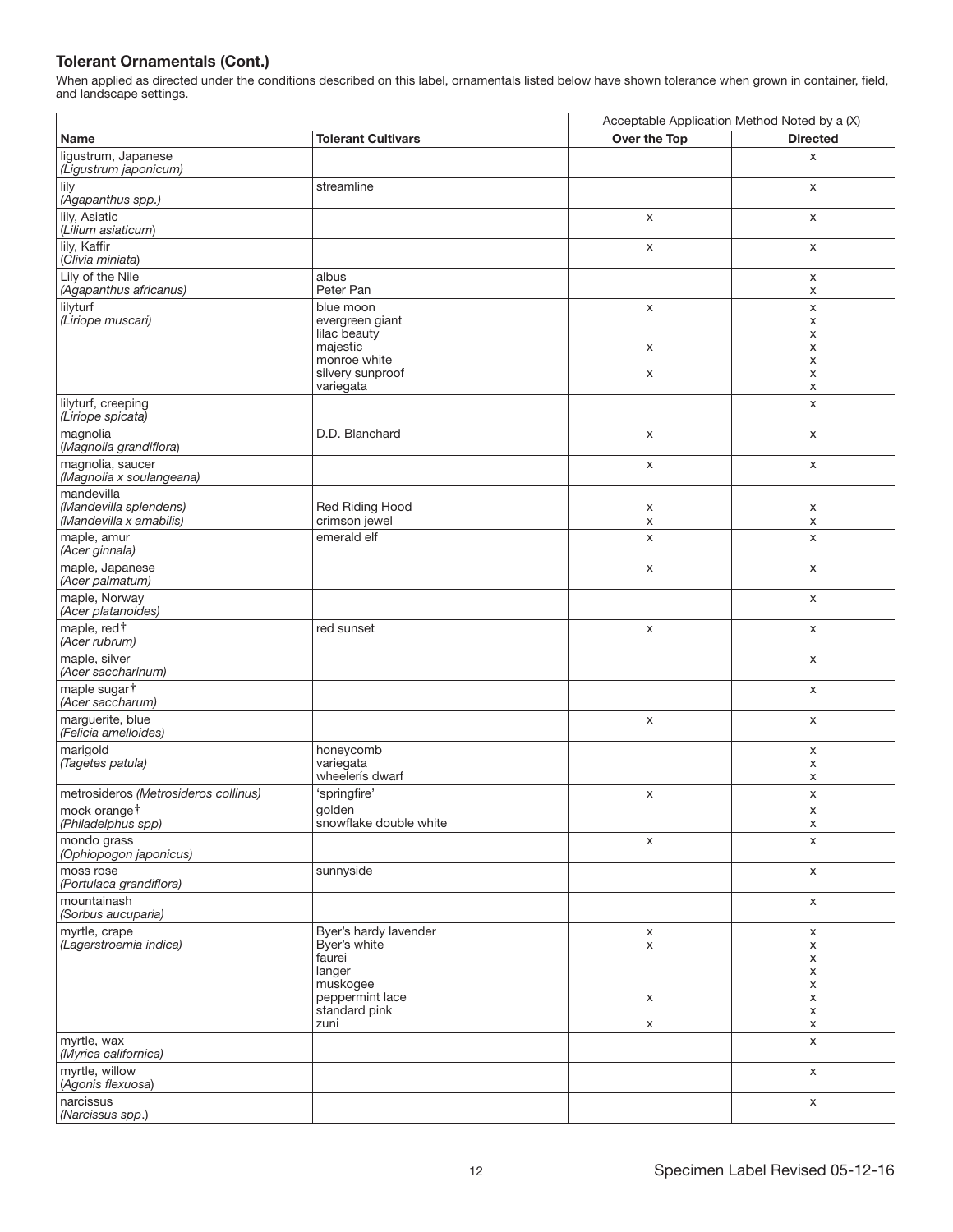|                                              |                                               | Acceptable Application Method Noted by a (X) |                 |
|----------------------------------------------|-----------------------------------------------|----------------------------------------------|-----------------|
| <b>Name</b>                                  | <b>Tolerant Cultivars</b>                     | Over the Top                                 | <b>Directed</b> |
| ligustrum, Japanese<br>(Ligustrum japonicum) |                                               |                                              | X               |
| lily<br>(Agapanthus spp.)                    | streamline                                    |                                              | X               |
| lily, Asiatic<br>(Lilium asiaticum)          |                                               | X                                            | X               |
| lily, Kaffir<br>(Clivia miniata)             |                                               | X                                            | X               |
| Lily of the Nile<br>(Agapanthus africanus)   | albus<br>Peter Pan                            |                                              | X<br>X          |
| lilyturf<br>(Liriope muscari)                | blue moon<br>evergreen giant                  | X                                            | X<br>X          |
|                                              | lilac beauty<br>majestic                      | х                                            | х<br>х          |
|                                              | monroe white<br>silvery sunproof<br>variegata | X                                            | X<br>х<br>х     |
| lilyturf, creeping<br>(Liriope spicata)      |                                               |                                              | X               |
| magnolia<br>(Magnolia grandiflora)           | D.D. Blanchard                                | X                                            | X               |
| magnolia, saucer<br>(Magnolia x soulangeana) |                                               | X                                            | X               |
| mandevilla<br>(Mandevilla splendens)         | Red Riding Hood                               | X                                            | X               |
| (Mandevilla x amabilis)                      | crimson jewel                                 | х                                            | X               |
| maple, amur<br>(Acer ginnala)                | emerald elf                                   | X                                            | X               |
| maple, Japanese<br>(Acer palmatum)           |                                               | X                                            | X               |
| maple, Norway<br>(Acer platanoides)          |                                               |                                              | X               |
| maple, red <sup>+</sup><br>(Acer rubrum)     | red sunset                                    | X                                            | X               |
| maple, silver<br>(Acer saccharinum)          |                                               |                                              | X               |
| maple sugar <sup>†</sup><br>(Acer saccharum) |                                               |                                              | X               |
| marguerite, blue<br>(Felicia amelloides)     |                                               | X                                            | X               |
| marigold<br>(Tagetes patula)                 | honeycomb<br>variegata<br>wheelerís dwarf     |                                              | X<br>х<br>X     |
| metrosideros (Metrosideros collinus)         | 'springfire'                                  | X                                            | X               |
| mock orange <sup>†</sup>                     | golden                                        |                                              | $\pmb{\times}$  |
| (Philadelphus spp)                           | snowflake double white                        |                                              | x               |
| mondo grass<br>(Ophiopogon japonicus)        |                                               | X                                            | X               |
| moss rose<br>(Portulaca grandiflora)         | sunnyside                                     |                                              | X               |
| mountainash<br>(Sorbus aucuparia)            |                                               |                                              | X               |
| myrtle, crape                                | Byer's hardy lavender                         | $\mathsf X$                                  | X               |
| (Lagerstroemia indica)                       | Byer's white<br>faurei                        | X                                            | X<br>x          |
|                                              | langer                                        |                                              | X               |
|                                              | muskogee                                      |                                              | x               |
|                                              | peppermint lace<br>standard pink              | X                                            | X<br>X          |
|                                              | zuni                                          | X                                            | X               |
| myrtle, wax<br>(Myrica californica)          |                                               |                                              | X               |
| myrtle, willow<br>(Agonis flexuosa)          |                                               |                                              | X               |
| narcissus<br>(Narcissus spp.)                |                                               |                                              | X               |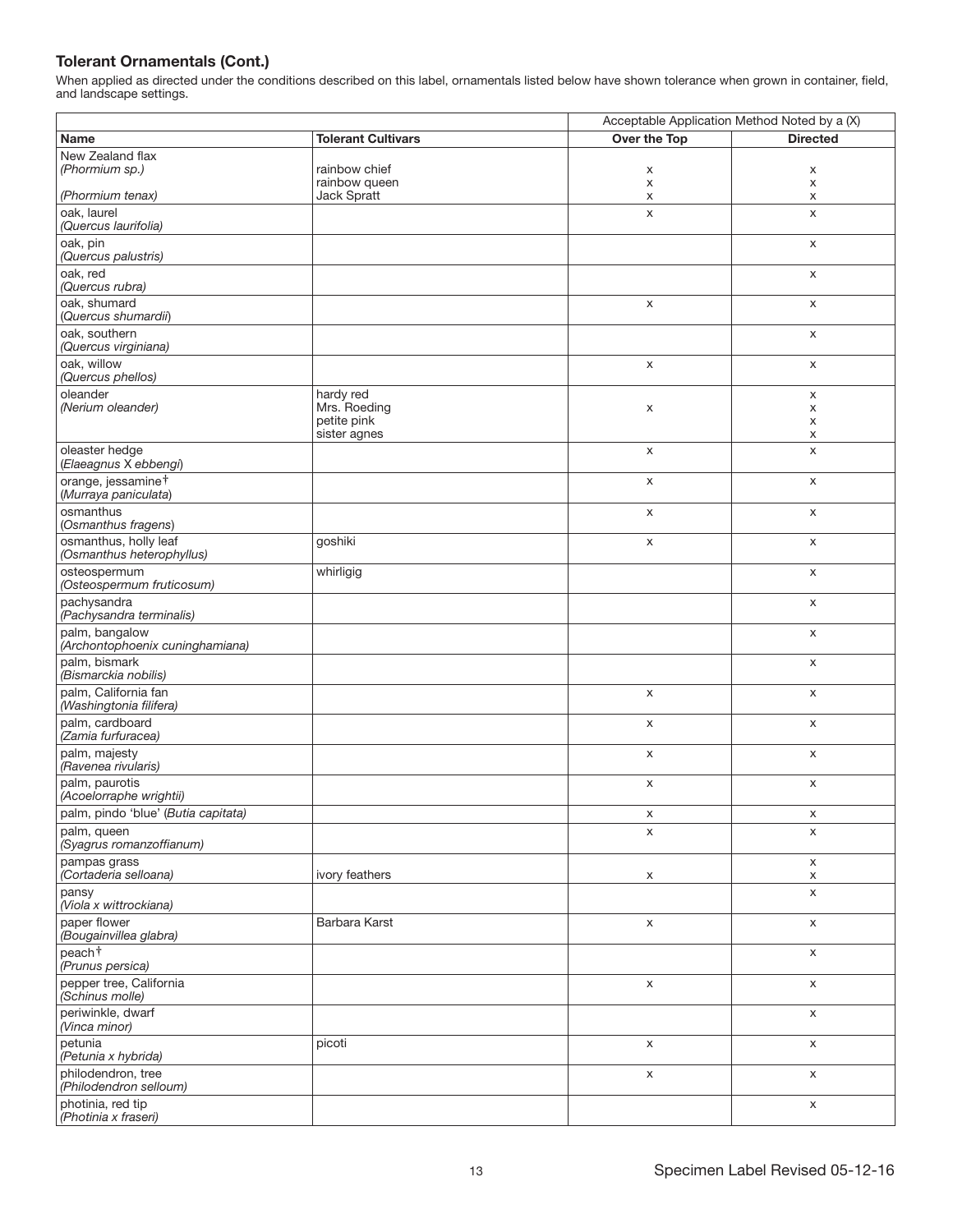|                                                        |                             | Acceptable Application Method Noted by a (X) |                 |
|--------------------------------------------------------|-----------------------------|----------------------------------------------|-----------------|
| Name                                                   | <b>Tolerant Cultivars</b>   | Over the Top                                 | <b>Directed</b> |
| New Zealand flax                                       |                             |                                              |                 |
| (Phormium sp.)                                         | rainbow chief               | х                                            | x               |
|                                                        | rainbow queen               | X                                            | X               |
| (Phormium tenax)                                       | Jack Spratt                 | х                                            | х               |
| oak, laurel                                            |                             | X                                            | X               |
| (Quercus laurifolia)                                   |                             |                                              |                 |
| oak, pin<br>(Quercus palustris)                        |                             |                                              | X               |
| oak, red<br>(Quercus rubra)                            |                             |                                              | X               |
| oak, shumard<br>(Quercus shumardii)                    |                             | X                                            | X               |
| oak, southern<br>(Quercus virginiana)                  |                             |                                              | X               |
| oak, willow                                            |                             | $\pmb{\times}$                               | X               |
| (Quercus phellos)                                      |                             |                                              |                 |
| oleander                                               | hardy red                   |                                              | X               |
| (Nerium oleander)                                      | Mrs. Roeding                | х                                            | X               |
|                                                        | petite pink<br>sister agnes |                                              | X<br>х          |
|                                                        |                             |                                              |                 |
| oleaster hedge<br>(Elaeagnus X ebbengi)                |                             | X                                            | X               |
| orange, jessamine <sup>+</sup><br>(Murraya paniculata) |                             | X                                            | X               |
| osmanthus                                              |                             | X                                            | X               |
| (Osmanthus fragens)                                    |                             |                                              |                 |
| osmanthus, holly leaf<br>(Osmanthus heterophyllus)     | goshiki                     | X                                            | X               |
| osteospermum<br>(Osteospermum fruticosum)              | whirligig                   |                                              | X               |
| pachysandra<br>(Pachysandra terminalis)                |                             |                                              | X               |
| palm, bangalow<br>(Archontophoenix cuninghamiana)      |                             |                                              | X               |
| palm, bismark<br>(Bismarckia nobilis)                  |                             |                                              | X               |
| palm, California fan<br>(Washingtonia filifera)        |                             | X                                            | X               |
| palm, cardboard<br>(Zamia furfuracea)                  |                             | $\mathsf X$                                  | $\mathsf X$     |
| palm, majesty<br>(Ravenea rivularis)                   |                             | X                                            | X               |
| palm, paurotis<br>(Acoelorraphe wrightii)              |                             | $\pmb{\times}$                               | X               |
| palm, pindo 'blue' (Butia capitata)                    |                             | х                                            | х               |
| palm, queen<br>(Syagrus romanzoffianum)                |                             | X                                            | X               |
| pampas grass<br>(Cortaderia selloana)                  | ivory feathers              | X                                            | X<br>X          |
| pansy<br>(Viola x wittrockiana)                        |                             |                                              | X               |
| paper flower<br>(Bougainvillea glabra)                 | Barbara Karst               | X                                            | X               |
| peach <sup>+</sup>                                     |                             |                                              | X               |
| (Prunus persica)<br>pepper tree, California            |                             | X                                            | X               |
| (Schinus molle)<br>periwinkle, dwarf                   |                             |                                              | X               |
| (Vinca minor)<br>petunia                               | picoti                      | X                                            | X               |
| (Petunia x hybrida)<br>philodendron, tree              |                             |                                              |                 |
| (Philodendron selloum)                                 |                             | X                                            | X               |
| photinia, red tip<br>(Photinia x fraseri)              |                             |                                              | $\mathsf X$     |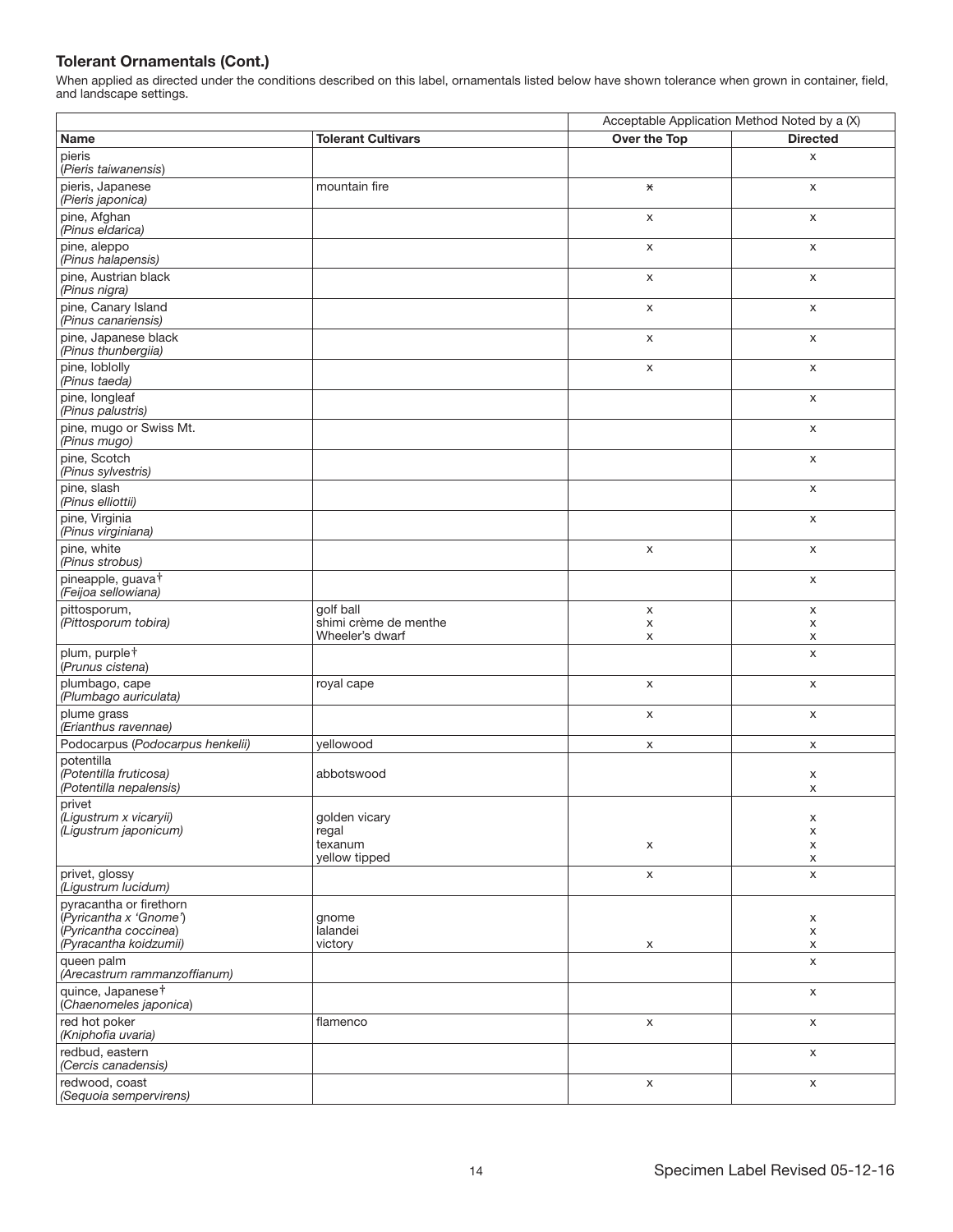|                                                                 |                                          | Acceptable Application Method Noted by a (X) |                 |
|-----------------------------------------------------------------|------------------------------------------|----------------------------------------------|-----------------|
| Name                                                            | <b>Tolerant Cultivars</b>                | Over the Top                                 | <b>Directed</b> |
| pieris<br>(Pieris taiwanensis)                                  |                                          |                                              | X               |
| pieris, Japanese<br>(Pieris japonica)                           | mountain fire                            | $\star$                                      | X               |
| pine, Afghan<br>(Pinus eldarica)                                |                                          | X                                            | X               |
| pine, aleppo<br>(Pinus halapensis)                              |                                          | X                                            | X               |
| pine, Austrian black<br>(Pinus nigra)                           |                                          | X                                            | X               |
| pine, Canary Island<br>(Pinus canariensis)                      |                                          | X                                            | X               |
| pine, Japanese black<br>(Pinus thunbergiia)                     |                                          | X                                            | X               |
| pine, loblolly<br>(Pinus taeda)                                 |                                          | $\mathsf X$                                  | $\mathsf X$     |
| pine, longleaf<br>(Pinus palustris)                             |                                          |                                              | $\mathsf X$     |
| pine, mugo or Swiss Mt.<br>(Pinus mugo)                         |                                          |                                              | X               |
| pine, Scotch<br>(Pinus sylvestris)                              |                                          |                                              | X               |
| pine, slash<br>(Pinus elliottii)                                |                                          |                                              | X               |
| pine, Virginia<br>(Pinus virginiana)                            |                                          |                                              | $\mathsf X$     |
| pine, white<br>(Pinus strobus)                                  |                                          | X                                            | X               |
| pineapple, guava <sup>+</sup><br>(Feijoa sellowiana)            |                                          |                                              | $\mathsf X$     |
| pittosporum,                                                    | golf ball                                | X                                            | X               |
| (Pittosporum tobira)                                            | shimi crème de menthe<br>Wheeler's dwarf | X<br>X                                       | x<br>X          |
| plum, purple <sup>†</sup><br>(Prunus cistena)                   |                                          |                                              | X               |
| plumbago, cape<br>(Plumbago auriculata)                         | royal cape                               | X                                            | X               |
| plume grass<br>(Erianthus ravennae)                             |                                          | X                                            | X               |
| Podocarpus (Podocarpus henkelii)                                | yellowood                                | x                                            | x               |
| potentilla<br>(Potentilla fruticosa)<br>(Potentilla nepalensis) | abbotswood                               |                                              | X<br>X          |
| privet<br>(Ligustrum x vicaryii)                                | golden vicary                            |                                              | x               |
| (Ligustrum japonicum)                                           | regal<br>texanum<br>yellow tipped        | X                                            | x<br>X<br>x     |
| privet, glossy<br>(Ligustrum lucidum)                           |                                          | $\mathsf X$                                  | X               |
| pyracantha or firethorn                                         |                                          |                                              |                 |
| (Pyricantha x 'Gnome')<br>(Pyricantha coccinea)                 | gnome<br>lalandei                        |                                              | X<br>X          |
| (Pyracantha koidzumii)                                          | victory                                  | x                                            | X               |
| queen palm<br>(Arecastrum rammanzoffianum)                      |                                          |                                              | X               |
| quince, Japanese <sup>+</sup><br>(Chaenomeles japonica)         |                                          |                                              | X               |
| red hot poker<br>(Kniphofia uvaria)                             | flamenco                                 | X                                            | X               |
| redbud, eastern<br>(Cercis canadensis)                          |                                          |                                              | X               |
| redwood, coast<br>(Sequoia sempervirens)                        |                                          | $\mathsf X$                                  | $\mathsf X$     |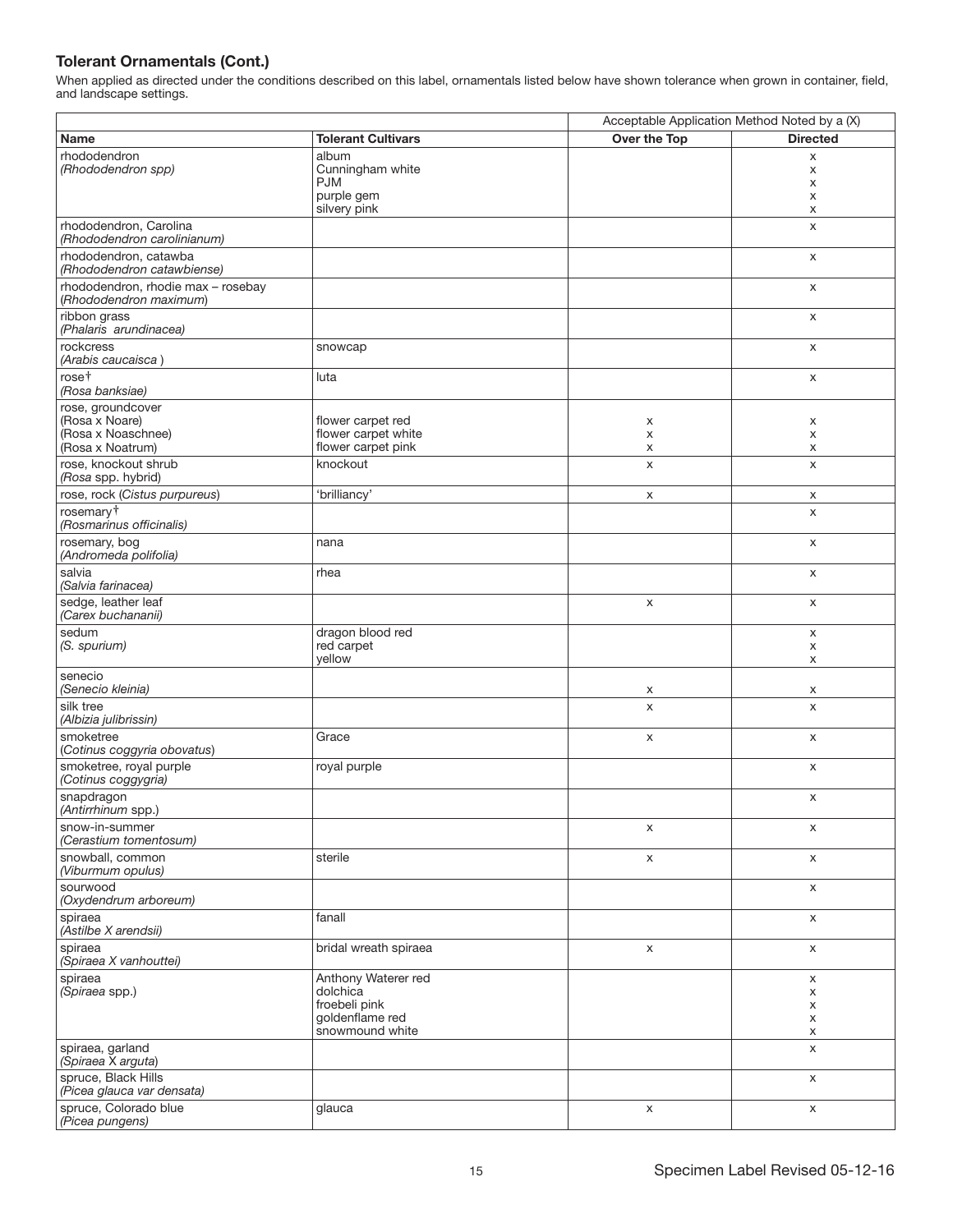|                                                              |                            | Acceptable Application Method Noted by a (X) |                 |
|--------------------------------------------------------------|----------------------------|----------------------------------------------|-----------------|
| Name                                                         | <b>Tolerant Cultivars</b>  | Over the Top                                 | <b>Directed</b> |
| rhododendron                                                 | album                      |                                              | X               |
| (Rhododendron spp)                                           | Cunningham white           |                                              | х               |
|                                                              | <b>PJM</b>                 |                                              | X               |
|                                                              | purple gem<br>silvery pink |                                              | X<br>X          |
| rhododendron, Carolina                                       |                            |                                              | $\mathsf{x}$    |
| (Rhododendron carolinianum)                                  |                            |                                              |                 |
| rhododendron, catawba<br>(Rhododendron catawbiense)          |                            |                                              | X               |
| rhododendron, rhodie max - rosebay<br>(Rhododendron maximum) |                            |                                              | X               |
| ribbon grass<br>(Phalaris arundinacea)                       |                            |                                              | X               |
| rockcress<br>(Arabis caucaisca)                              | snowcap                    |                                              | X               |
| rose <sup>+</sup><br>(Rosa banksiae)                         | luta                       |                                              | X               |
| rose, groundcover                                            |                            |                                              |                 |
| (Rosa x Noare)                                               | flower carpet red          | X                                            | X               |
| (Rosa x Noaschnee)                                           | flower carpet white        | X                                            | X               |
| (Rosa x Noatrum)                                             | flower carpet pink         | x                                            | X               |
| rose, knockout shrub<br>(Rosa spp. hybrid)                   | knockout                   | X                                            | X               |
| rose, rock (Cistus purpureus)                                | 'brilliancy'               | $\mathsf X$                                  | X               |
| rosemary <sup>+</sup><br>(Rosmarinus officinalis)            |                            |                                              | X               |
| rosemary, bog<br>(Andromeda polifolia)                       | nana                       |                                              | X               |
| salvia<br>(Salvia farinacea)                                 | rhea                       |                                              | X               |
| sedge, leather leaf<br>(Carex buchananii)                    |                            | X                                            | X               |
| sedum                                                        | dragon blood red           |                                              | X               |
| (S. spurium)                                                 | red carpet<br>yellow       |                                              | X<br>X          |
| senecio<br>(Senecio kleinia)                                 |                            | X                                            | х               |
| silk tree<br>(Albizia julibrissin)                           |                            | X                                            | X               |
| smoketree<br>(Cotinus coggyria obovatus)                     | Grace                      | X                                            | X               |
| smoketree, royal purple<br>(Cotinus coggygria)               | royal purple               |                                              | X               |
| snapdragon<br>(Antirrhinum spp.)                             |                            |                                              | X               |
| snow-in-summer<br>(Cerastium tomentosum)                     |                            | X                                            | X               |
| snowball, common<br>(Viburmum opulus)                        | sterile                    | $\mathsf X$                                  | $\mathsf X$     |
| sourwood<br>(Oxydendrum arboreum)                            |                            |                                              | $\mathsf{x}$    |
| spiraea                                                      | fanall                     |                                              | X               |
| (Astilbe X arendsii)<br>spiraea                              | bridal wreath spiraea      | X                                            | X               |
| (Spiraea X vanhouttei)<br>spiraea                            | Anthony Waterer red        |                                              | X               |
| (Spiraea spp.)                                               | dolchica                   |                                              | X               |
|                                                              | froebeli pink              |                                              | X               |
|                                                              | goldenflame red            |                                              | X               |
|                                                              | snowmound white            |                                              | X               |
| spiraea, garland<br>(Spiraea X arguta)                       |                            |                                              | X               |
| spruce, Black Hills<br>(Picea glauca var densata)            |                            |                                              | X               |
| spruce, Colorado blue                                        | glauca                     | $\mathsf X$                                  | $\mathsf X$     |
| (Picea pungens)                                              |                            |                                              |                 |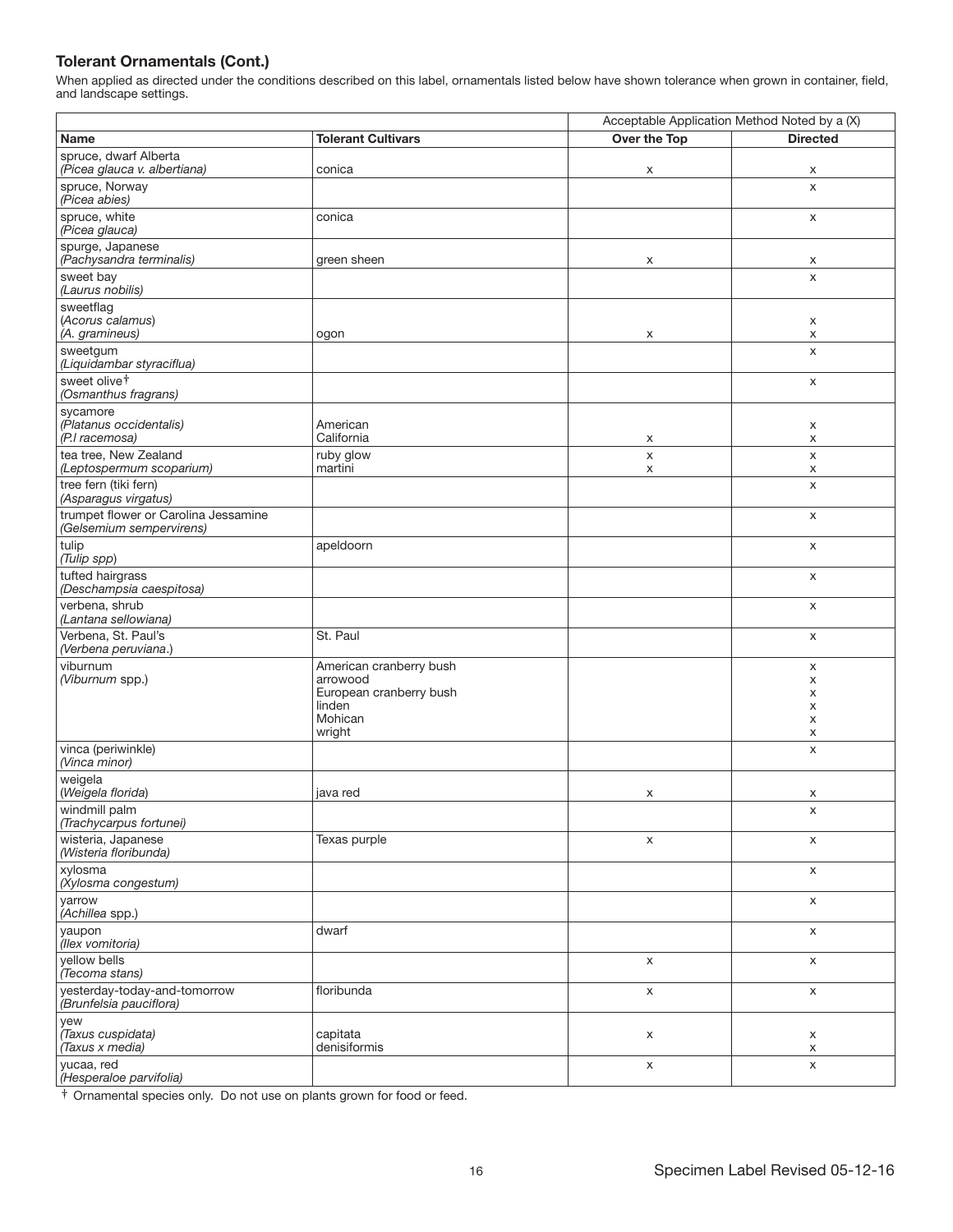When applied as directed under the conditions described on this label, ornamentals listed below have shown tolerance when grown in container, field, and landscape settings.

|                                                                  |                                                                                               | Acceptable Application Method Noted by a (X) |                            |
|------------------------------------------------------------------|-----------------------------------------------------------------------------------------------|----------------------------------------------|----------------------------|
| <b>Name</b>                                                      | <b>Tolerant Cultivars</b>                                                                     | Over the Top                                 | <b>Directed</b>            |
| spruce, dwarf Alberta<br>(Picea glauca v. albertiana)            | conica                                                                                        | x                                            | X                          |
| spruce, Norway<br>(Picea abies)                                  |                                                                                               |                                              | X                          |
| spruce, white<br>(Picea glauca)                                  | conica                                                                                        |                                              | X                          |
| spurge, Japanese<br>(Pachysandra terminalis)                     | green sheen                                                                                   | х                                            | х                          |
| sweet bay<br>(Laurus nobilis)                                    |                                                                                               |                                              | $\mathsf{x}$               |
| sweetflag<br>(Acorus calamus)<br>(A. gramineus)                  | ogon                                                                                          | X                                            | X<br>X                     |
| sweetgum<br>(Liquidambar styraciflua)                            |                                                                                               |                                              | X                          |
| sweet olive <sup>+</sup><br>(Osmanthus fragrans)                 |                                                                                               |                                              | X                          |
| sycamore<br>(Platanus occidentalis)<br>(P.I racemosa)            | American<br>California                                                                        | X                                            | X<br>x                     |
| tea tree, New Zealand<br>(Leptospermum scoparium)                | ruby glow<br>martini                                                                          | $\pmb{\mathsf{X}}$<br>X                      | $\pmb{\times}$<br>X        |
| tree fern (tiki fern)<br>(Asparagus virgatus)                    |                                                                                               |                                              | $\pmb{\times}$             |
| trumpet flower or Carolina Jessamine<br>(Gelsemium sempervirens) |                                                                                               |                                              | X                          |
| tulip<br>(Tulip spp)                                             | apeldoorn                                                                                     |                                              | X                          |
| tufted hairgrass<br>(Deschampsia caespitosa)                     |                                                                                               |                                              | X                          |
| verbena, shrub<br>(Lantana sellowiana)                           |                                                                                               |                                              | X                          |
| Verbena, St. Paul's<br>(Verbena peruviana.)                      | St. Paul                                                                                      |                                              | X                          |
| viburnum<br>(Viburnum spp.)                                      | American cranberry bush<br>arrowood<br>European cranberry bush<br>linden<br>Mohican<br>wright |                                              | X<br>X<br>X<br>X<br>X<br>X |
| vinca (periwinkle)<br>(Vinca minor)                              |                                                                                               |                                              | X                          |
| weigela<br>(Weigela florida)                                     | java red                                                                                      | x                                            | х                          |
| windmill palm<br>(Trachycarpus fortunei)                         |                                                                                               |                                              | X                          |
| wisteria, Japanese<br>(Wisteria floribunda)                      | Texas purple                                                                                  | $\pmb{\times}$                               | X                          |
| xylosma<br>(Xylosma congestum)                                   |                                                                                               |                                              | $\mathsf X$                |
| yarrow<br>(Achillea spp.)                                        |                                                                                               |                                              | $\mathsf X$                |
| yaupon<br>(llex vomitoria)                                       | dwarf                                                                                         |                                              | X                          |
| yellow bells<br>(Tecoma stans)                                   |                                                                                               | X                                            | X                          |
| yesterday-today-and-tomorrow<br>(Brunfelsia pauciflora)          | floribunda                                                                                    | X                                            | X                          |
| yew<br>(Taxus cuspidata)<br>(Taxus x media)                      | capitata<br>denisiformis                                                                      | X                                            | X<br>X                     |
| yucaa, red<br>(Hesperaloe parvifolia)                            |                                                                                               | $\mathsf X$                                  | X                          |

† Ornamental species only. Do not use on plants grown for food or feed.